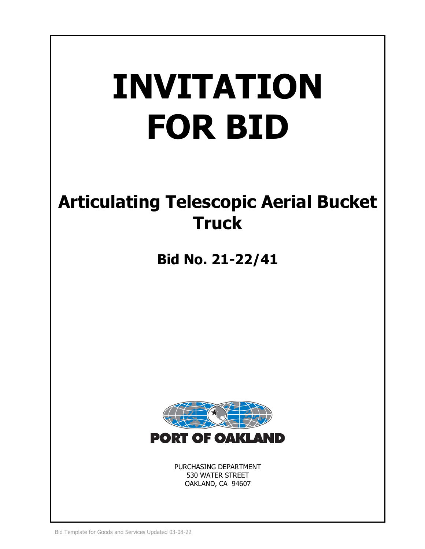# **INVITATION FOR BID**

# **Articulating Telescopic Aerial Bucket Truck**

**Bid No. 21-22/41**



PURCHASING DEPARTMENT 530 WATER STREET OAKLAND, CA 94607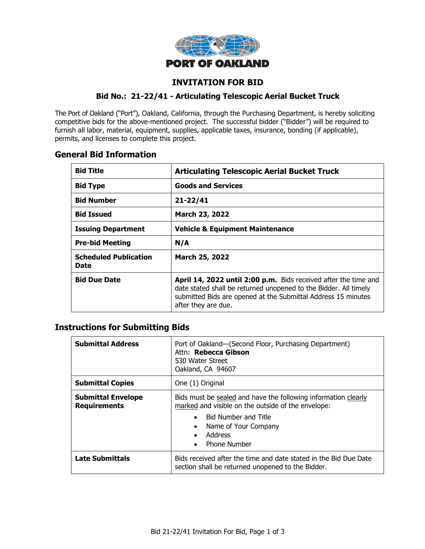

# **INVITATION FOR BID**

#### **Bid No.: 21-22/41 - Articulating Telescopic Aerial Bucket Truck**

The Port of Oakland ("Port"), Oakland, California, through the Purchasing Department, is hereby soliciting competitive bids for the above-mentioned project. The successful bidder ("Bidder") will be required to furnish all labor, material, equipment, supplies, applicable taxes, insurance, bonding (if applicable), permits, and licenses to complete this project.

# **General Bid Information**

| <b>Bid Title</b>                     | <b>Articulating Telescopic Aerial Bucket Truck</b>                                                                                                                                                                          |  |
|--------------------------------------|-----------------------------------------------------------------------------------------------------------------------------------------------------------------------------------------------------------------------------|--|
| <b>Bid Type</b>                      | <b>Goods and Services</b>                                                                                                                                                                                                   |  |
| <b>Bid Number</b>                    | $21 - 22/41$                                                                                                                                                                                                                |  |
| <b>Bid Issued</b>                    | March 23, 2022                                                                                                                                                                                                              |  |
| <b>Issuing Department</b>            | <b>Vehicle &amp; Equipment Maintenance</b>                                                                                                                                                                                  |  |
| <b>Pre-bid Meeting</b>               | N/A                                                                                                                                                                                                                         |  |
| <b>Scheduled Publication</b><br>Date | March 25, 2022                                                                                                                                                                                                              |  |
| <b>Bid Due Date</b>                  | April 14, 2022 until 2:00 p.m. Bids received after the time and<br>date stated shall be returned unopened to the Bidder. All timely<br>submitted Bids are opened at the Submittal Address 15 minutes<br>after they are due. |  |

# **Instructions for Submitting Bids**

| <b>Submittal Address</b>                         | Port of Oakland-(Second Floor, Purchasing Department)<br>Attn: Rebecca Gibson<br>530 Water Street<br>Oakland, CA 94607                                                                                                                                     |  |
|--------------------------------------------------|------------------------------------------------------------------------------------------------------------------------------------------------------------------------------------------------------------------------------------------------------------|--|
| <b>Submittal Copies</b>                          | One (1) Original                                                                                                                                                                                                                                           |  |
| <b>Submittal Envelope</b><br><b>Requirements</b> | Bids must be sealed and have the following information clearly<br>marked and visible on the outside of the envelope:<br>Bid Number and Title<br>$\bullet$<br>Name of Your Company<br>$\bullet$<br>Address<br>$\bullet$<br><b>Phone Number</b><br>$\bullet$ |  |
| <b>Late Submittals</b>                           | Bids received after the time and date stated in the Bid Due Date<br>section shall be returned unopened to the Bidder.                                                                                                                                      |  |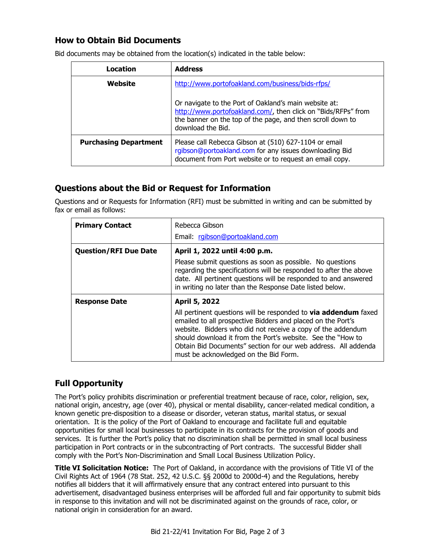# **How to Obtain Bid Documents**

| Location                                                                                                                                                                                                   | <b>Address</b>                                                                                                                                                                                            |  |
|------------------------------------------------------------------------------------------------------------------------------------------------------------------------------------------------------------|-----------------------------------------------------------------------------------------------------------------------------------------------------------------------------------------------------------|--|
| Website                                                                                                                                                                                                    | http://www.portofoakland.com/business/bids-rfps/                                                                                                                                                          |  |
|                                                                                                                                                                                                            | Or navigate to the Port of Oakland's main website at:<br>http://www.portofoakland.com/, then click on "Bids/RFPs" from<br>the banner on the top of the page, and then scroll down to<br>download the Bid. |  |
| <b>Purchasing Department</b><br>Please call Rebecca Gibson at (510) 627-1104 or email<br>rgibson@portoakland.com for any issues downloading Bid<br>document from Port website or to request an email copy. |                                                                                                                                                                                                           |  |

Bid documents may be obtained from the location(s) indicated in the table below:

# **Questions about the Bid or Request for Information**

Questions and or Requests for Information (RFI) must be submitted in writing and can be submitted by fax or email as follows:

| <b>Primary Contact</b>       | Rebecca Gibson                                                                                                                                                                                                                                                                                                                                                                 |  |  |
|------------------------------|--------------------------------------------------------------------------------------------------------------------------------------------------------------------------------------------------------------------------------------------------------------------------------------------------------------------------------------------------------------------------------|--|--|
|                              | Email: rgibson@portoakland.com                                                                                                                                                                                                                                                                                                                                                 |  |  |
| <b>Question/RFI Due Date</b> | April 1, 2022 until 4:00 p.m.                                                                                                                                                                                                                                                                                                                                                  |  |  |
|                              | Please submit questions as soon as possible. No questions<br>regarding the specifications will be responded to after the above<br>date. All pertinent questions will be responded to and answered<br>in writing no later than the Response Date listed below.                                                                                                                  |  |  |
| <b>Response Date</b>         | April 5, 2022                                                                                                                                                                                                                                                                                                                                                                  |  |  |
|                              | All pertinent questions will be responded to <b>via addendum</b> faxed<br>emailed to all prospective Bidders and placed on the Port's<br>website. Bidders who did not receive a copy of the addendum<br>should download it from the Port's website. See the "How to<br>Obtain Bid Documents" section for our web address. All addenda<br>must be acknowledged on the Bid Form. |  |  |

# **Full Opportunity**

The Port's policy prohibits discrimination or preferential treatment because of race, color, religion, sex, national origin, ancestry, age (over 40), physical or mental disability, cancer-related medical condition, a known genetic pre-disposition to a disease or disorder, veteran status, marital status, or sexual orientation. It is the policy of the Port of Oakland to encourage and facilitate full and equitable opportunities for small local businesses to participate in its contracts for the provision of goods and services. It is further the Port's policy that no discrimination shall be permitted in small local business participation in Port contracts or in the subcontracting of Port contracts. The successful Bidder shall comply with the Port's Non-Discrimination and Small Local Business Utilization Policy.

**Title VI Solicitation Notice:** The Port of Oakland, in accordance with the provisions of Title VI of the Civil Rights Act of 1964 (78 Stat. 252, 42 U.S.C. §§ 2000d to 2000d-4) and the Regulations, hereby notifies all bidders that it will affirmatively ensure that any contract entered into pursuant to this advertisement, disadvantaged business enterprises will be afforded full and fair opportunity to submit bids in response to this invitation and will not be discriminated against on the grounds of race, color, or national origin in consideration for an award.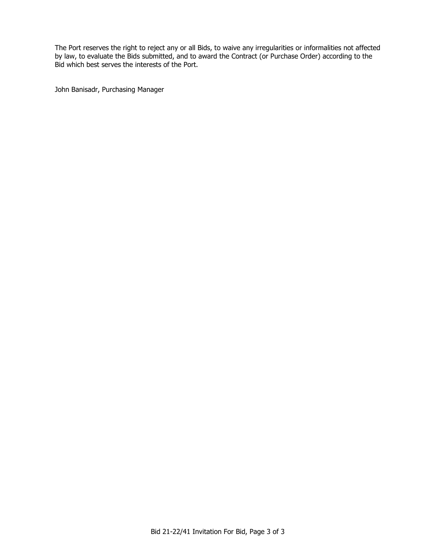The Port reserves the right to reject any or all Bids, to waive any irregularities or informalities not affected by law, to evaluate the Bids submitted, and to award the Contract (or Purchase Order) according to the Bid which best serves the interests of the Port.

John Banisadr, Purchasing Manager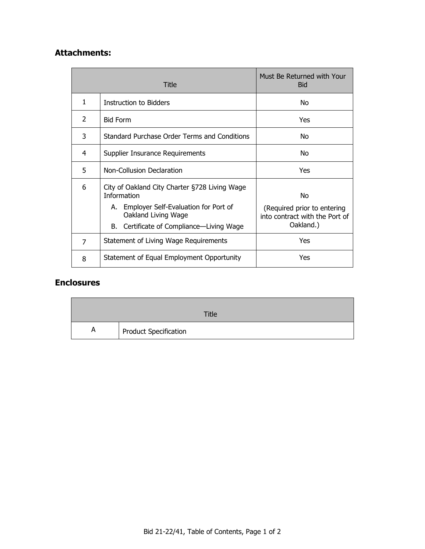# **Attachments:**

| Title |                                                                                                                                                                                   | Must Be Returned with Your<br><b>Bid</b>                                         |
|-------|-----------------------------------------------------------------------------------------------------------------------------------------------------------------------------------|----------------------------------------------------------------------------------|
| 1     | <b>Instruction to Bidders</b>                                                                                                                                                     | No.                                                                              |
| 2     | <b>Bid Form</b>                                                                                                                                                                   | Yes                                                                              |
| 3     | Standard Purchase Order Terms and Conditions                                                                                                                                      | No                                                                               |
| 4     | Supplier Insurance Requirements                                                                                                                                                   | No                                                                               |
| 5     | Non-Collusion Declaration                                                                                                                                                         | Yes                                                                              |
| 6     | City of Oakland City Charter §728 Living Wage<br><b>Information</b><br>A. Employer Self-Evaluation for Port of<br>Oakland Living Wage<br>B. Certificate of Compliance—Living Wage | No<br>(Required prior to entering<br>into contract with the Port of<br>Oakland.) |
| 7     | Statement of Living Wage Requirements                                                                                                                                             | Yes                                                                              |
| 8     | Statement of Equal Employment Opportunity                                                                                                                                         | Yes                                                                              |

# **Enclosures**

|   | Title                 |
|---|-----------------------|
| A | Product Specification |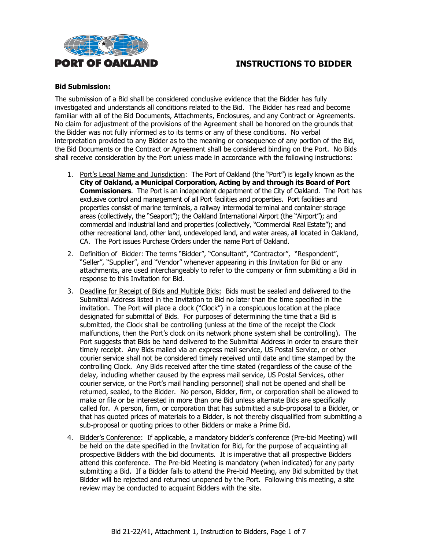

#### **Bid Submission:**

The submission of a Bid shall be considered conclusive evidence that the Bidder has fully investigated and understands all conditions related to the Bid. The Bidder has read and become familiar with all of the Bid Documents, Attachments, Enclosures, and any Contract or Agreements. No claim for adjustment of the provisions of the Agreement shall be honored on the grounds that the Bidder was not fully informed as to its terms or any of these conditions. No verbal interpretation provided to any Bidder as to the meaning or consequence of any portion of the Bid, the Bid Documents or the Contract or Agreement shall be considered binding on the Port. No Bids shall receive consideration by the Port unless made in accordance with the following instructions:

- 1. Port's Legal Name and Jurisdiction: The Port of Oakland (the "Port") is legally known as the **City of Oakland, a Municipal Corporation, Acting by and through its Board of Port Commissioners**. The Port is an independent department of the City of Oakland. The Port has exclusive control and management of all Port facilities and properties. Port facilities and properties consist of marine terminals, a railway intermodal terminal and container storage areas (collectively, the "Seaport"); the Oakland International Airport (the "Airport"); and commercial and industrial land and properties (collectively, "Commercial Real Estate"); and other recreational land, other land, undeveloped land, and water areas, all located in Oakland, CA. The Port issues Purchase Orders under the name Port of Oakland.
- 2. Definition of Bidder: The terms "Bidder", "Consultant", "Contractor", "Respondent", "Seller", "Supplier", and "Vendor" whenever appearing in this Invitation for Bid or any attachments, are used interchangeably to refer to the company or firm submitting a Bid in response to this Invitation for Bid.
- 3. Deadline for Receipt of Bids and Multiple Bids: Bids must be sealed and delivered to the Submittal Address listed in the Invitation to Bid no later than the time specified in the invitation. The Port will place a clock ("Clock") in a conspicuous location at the place designated for submittal of Bids. For purposes of determining the time that a Bid is submitted, the Clock shall be controlling (unless at the time of the receipt the Clock malfunctions, then the Port's clock on its network phone system shall be controlling). The Port suggests that Bids be hand delivered to the Submittal Address in order to ensure their timely receipt. Any Bids mailed via an express mail service, US Postal Service, or other courier service shall not be considered timely received until date and time stamped by the controlling Clock. Any Bids received after the time stated (regardless of the cause of the delay, including whether caused by the express mail service, US Postal Services, other courier service, or the Port's mail handling personnel) shall not be opened and shall be returned, sealed, to the Bidder. No person, Bidder, firm, or corporation shall be allowed to make or file or be interested in more than one Bid unless alternate Bids are specifically called for. A person, firm, or corporation that has submitted a sub-proposal to a Bidder, or that has quoted prices of materials to a Bidder, is not thereby disqualified from submitting a sub-proposal or quoting prices to other Bidders or make a Prime Bid.
- 4. Bidder's Conference: If applicable, a mandatory bidder's conference (Pre-bid Meeting) will be held on the date specified in the Invitation for Bid, for the purpose of acquainting all prospective Bidders with the bid documents. It is imperative that all prospective Bidders attend this conference. The Pre-bid Meeting is mandatory (when indicated) for any party submitting a Bid. If a Bidder fails to attend the Pre-bid Meeting, any Bid submitted by that Bidder will be rejected and returned unopened by the Port. Following this meeting, a site review may be conducted to acquaint Bidders with the site.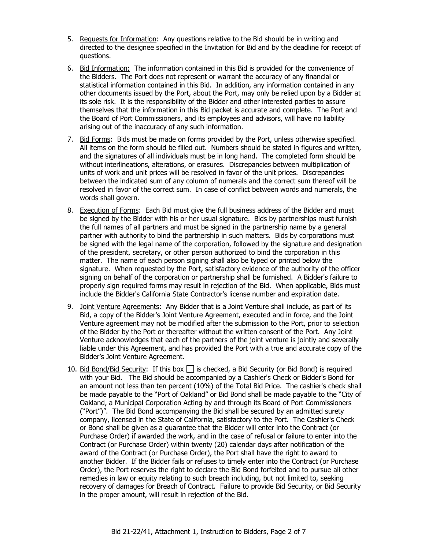- 5. Requests for Information: Any questions relative to the Bid should be in writing and directed to the designee specified in the Invitation for Bid and by the deadline for receipt of questions.
- 6. Bid Information: The information contained in this Bid is provided for the convenience of the Bidders. The Port does not represent or warrant the accuracy of any financial or statistical information contained in this Bid. In addition, any information contained in any other documents issued by the Port, about the Port, may only be relied upon by a Bidder at its sole risk. It is the responsibility of the Bidder and other interested parties to assure themselves that the information in this Bid packet is accurate and complete. The Port and the Board of Port Commissioners, and its employees and advisors, will have no liability arising out of the inaccuracy of any such information.
- 7. Bid Forms: Bids must be made on forms provided by the Port, unless otherwise specified. All items on the form should be filled out. Numbers should be stated in figures and written, and the signatures of all individuals must be in long hand. The completed form should be without interlineations, alterations, or erasures. Discrepancies between multiplication of units of work and unit prices will be resolved in favor of the unit prices. Discrepancies between the indicated sum of any column of numerals and the correct sum thereof will be resolved in favor of the correct sum. In case of conflict between words and numerals, the words shall govern.
- 8. Execution of Forms: Each Bid must give the full business address of the Bidder and must be signed by the Bidder with his or her usual signature. Bids by partnerships must furnish the full names of all partners and must be signed in the partnership name by a general partner with authority to bind the partnership in such matters. Bids by corporations must be signed with the legal name of the corporation, followed by the signature and designation of the president, secretary, or other person authorized to bind the corporation in this matter. The name of each person signing shall also be typed or printed below the signature. When requested by the Port, satisfactory evidence of the authority of the officer signing on behalf of the corporation or partnership shall be furnished. A Bidder's failure to properly sign required forms may result in rejection of the Bid. When applicable, Bids must include the Bidder's California State Contractor's license number and expiration date.
- 9. Joint Venture Agreements: Any Bidder that is a Joint Venture shall include, as part of its Bid, a copy of the Bidder's Joint Venture Agreement, executed and in force, and the Joint Venture agreement may not be modified after the submission to the Port, prior to selection of the Bidder by the Port or thereafter without the written consent of the Port. Any Joint Venture acknowledges that each of the partners of the joint venture is jointly and severally liable under this Agreement, and has provided the Port with a true and accurate copy of the Bidder's Joint Venture Agreement.
- 10. Bid Bond/Bid Security: If this box  $\Box$  is checked, a Bid Security (or Bid Bond) is required with your Bid. The Bid should be accompanied by a Cashier's Check or Bidder's Bond for an amount not less than ten percent (10%) of the Total Bid Price. The cashier's check shall be made payable to the "Port of Oakland" or Bid Bond shall be made payable to the "City of Oakland, a Municipal Corporation Acting by and through its Board of Port Commissioners ("Port")". The Bid Bond accompanying the Bid shall be secured by an admitted surety company, licensed in the State of California, satisfactory to the Port. The Cashier's Check or Bond shall be given as a guarantee that the Bidder will enter into the Contract (or Purchase Order) if awarded the work, and in the case of refusal or failure to enter into the Contract (or Purchase Order) within twenty (20) calendar days after notification of the award of the Contract (or Purchase Order), the Port shall have the right to award to another Bidder. If the Bidder fails or refuses to timely enter into the Contract (or Purchase Order), the Port reserves the right to declare the Bid Bond forfeited and to pursue all other remedies in law or equity relating to such breach including, but not limited to, seeking recovery of damages for Breach of Contract. Failure to provide Bid Security, or Bid Security in the proper amount, will result in rejection of the Bid.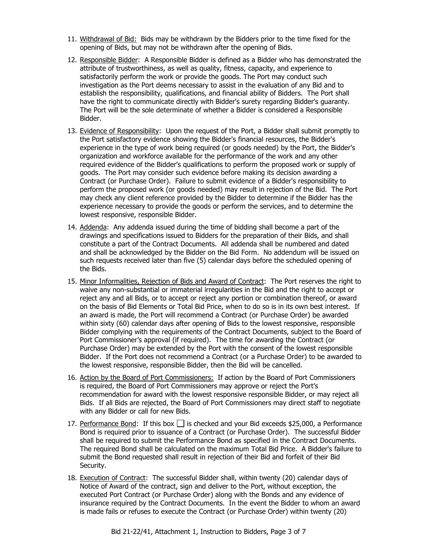- 11. Withdrawal of Bid: Bids may be withdrawn by the Bidders prior to the time fixed for the opening of Bids, but may not be withdrawn after the opening of Bids.
- 12. Responsible Bidder: A Responsible Bidder is defined as a Bidder who has demonstrated the attribute of trustworthiness, as well as quality, fitness, capacity, and experience to satisfactorily perform the work or provide the goods. The Port may conduct such investigation as the Port deems necessary to assist in the evaluation of any Bid and to establish the responsibility, qualifications, and financial ability of Bidders. The Port shall have the right to communicate directly with Bidder's surety regarding Bidder's guaranty. The Port will be the sole determinate of whether a Bidder is considered a Responsible Bidder.
- 13. Evidence of Responsibility: Upon the request of the Port, a Bidder shall submit promptly to the Port satisfactory evidence showing the Bidder's financial resources, the Bidder's experience in the type of work being required (or goods needed) by the Port, the Bidder's organization and workforce available for the performance of the work and any other required evidence of the Bidder's qualifications to perform the proposed work or supply of goods. The Port may consider such evidence before making its decision awarding a Contract (or Purchase Order). Failure to submit evidence of a Bidder's responsibility to perform the proposed work (or goods needed) may result in rejection of the Bid. The Port may check any client reference provided by the Bidder to determine if the Bidder has the experience necessary to provide the goods or perform the services, and to determine the lowest responsive, responsible Bidder.
- 14. Addenda: Any addenda issued during the time of bidding shall become a part of the drawings and specifications issued to Bidders for the preparation of their Bids, and shall constitute a part of the Contract Documents. All addenda shall be numbered and dated and shall be acknowledged by the Bidder on the Bid Form. No addendum will be issued on such requests received later than five (5) calendar days before the scheduled opening of the Bids.
- 15. Minor Informalities, Rejection of Bids and Award of Contract: The Port reserves the right to waive any non-substantial or immaterial irregularities in the Bid and the right to accept or reject any and all Bids, or to accept or reject any portion or combination thereof, or award on the basis of Bid Elements or Total Bid Price, when to do so is in its own best interest. If an award is made, the Port will recommend a Contract (or Purchase Order) be awarded within sixty (60) calendar days after opening of Bids to the lowest responsive, responsible Bidder complying with the requirements of the Contract Documents, subject to the Board of Port Commissioner's approval (if required). The time for awarding the Contract (or Purchase Order) may be extended by the Port with the consent of the lowest responsible Bidder. If the Port does not recommend a Contract (or a Purchase Order) to be awarded to the lowest responsive, responsible Bidder, then the Bid will be cancelled.
- 16. Action by the Board of Port Commissioners: If action by the Board of Port Commissioners is required, the Board of Port Commissioners may approve or reject the Port's recommendation for award with the lowest responsive responsible Bidder, or may reject all Bids. If all Bids are rejected, the Board of Port Commissioners may direct staff to negotiate with any Bidder or call for new Bids.
- 17. Performance Bond: If this box  $\Box$  is checked and your Bid exceeds \$25,000, a Performance Bond is required prior to issuance of a Contract (or Purchase Order). The successful Bidder shall be required to submit the Performance Bond as specified in the Contract Documents. The required Bond shall be calculated on the maximum Total Bid Price. A Bidder's failure to submit the Bond requested shall result in rejection of their Bid and forfeit of their Bid Security.
- 18. Execution of Contract: The successful Bidder shall, within twenty (20) calendar days of Notice of Award of the contract, sign and deliver to the Port, without exception, the executed Port Contract (or Purchase Order) along with the Bonds and any evidence of insurance required by the Contract Documents. In the event the Bidder to whom an award is made fails or refuses to execute the Contract (or Purchase Order) within twenty (20)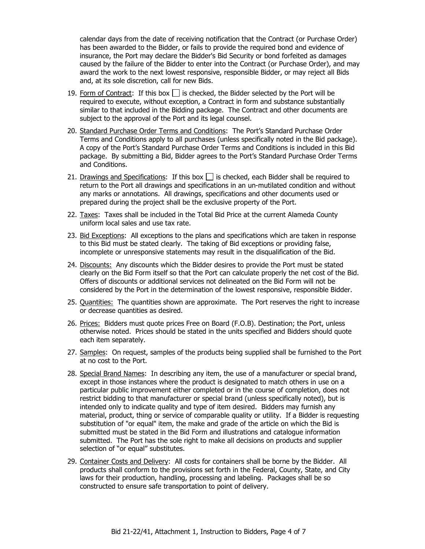calendar days from the date of receiving notification that the Contract (or Purchase Order) has been awarded to the Bidder, or fails to provide the required bond and evidence of insurance, the Port may declare the Bidder's Bid Security or bond forfeited as damages caused by the failure of the Bidder to enter into the Contract (or Purchase Order), and may award the work to the next lowest responsive, responsible Bidder, or may reject all Bids and, at its sole discretion, call for new Bids.

- 19. Form of Contract: If this box  $\Box$  is checked, the Bidder selected by the Port will be required to execute, without exception, a Contract in form and substance substantially similar to that included in the Bidding package. The Contract and other documents are subject to the approval of the Port and its legal counsel.
- 20. Standard Purchase Order Terms and Conditions: The Port's Standard Purchase Order Terms and Conditions apply to all purchases (unless specifically noted in the Bid package). A copy of the Port's Standard Purchase Order Terms and Conditions is included in this Bid package. By submitting a Bid, Bidder agrees to the Port's Standard Purchase Order Terms and Conditions.
- 21. Drawings and Specifications: If this box  $\Box$  is checked, each Bidder shall be required to return to the Port all drawings and specifications in an un-mutilated condition and without any marks or annotations. All drawings, specifications and other documents used or prepared during the project shall be the exclusive property of the Port.
- 22. Taxes: Taxes shall be included in the Total Bid Price at the current Alameda County uniform local sales and use tax rate.
- 23. Bid Exceptions: All exceptions to the plans and specifications which are taken in response to this Bid must be stated clearly. The taking of Bid exceptions or providing false, incomplete or unresponsive statements may result in the disqualification of the Bid.
- 24. Discounts: Any discounts which the Bidder desires to provide the Port must be stated clearly on the Bid Form itself so that the Port can calculate properly the net cost of the Bid. Offers of discounts or additional services not delineated on the Bid Form will not be considered by the Port in the determination of the lowest responsive, responsible Bidder.
- 25. Quantities: The quantities shown are approximate. The Port reserves the right to increase or decrease quantities as desired.
- 26. Prices: Bidders must quote prices Free on Board (F.O.B). Destination; the Port, unless otherwise noted. Prices should be stated in the units specified and Bidders should quote each item separately.
- 27. Samples: On request, samples of the products being supplied shall be furnished to the Port at no cost to the Port.
- 28. Special Brand Names: In describing any item, the use of a manufacturer or special brand, except in those instances where the product is designated to match others in use on a particular public improvement either completed or in the course of completion, does not restrict bidding to that manufacturer or special brand (unless specifically noted), but is intended only to indicate quality and type of item desired. Bidders may furnish any material, product, thing or service of comparable quality or utility. If a Bidder is requesting substitution of "or equal" item, the make and grade of the article on which the Bid is submitted must be stated in the Bid Form and illustrations and catalogue information submitted. The Port has the sole right to make all decisions on products and supplier selection of "or equal" substitutes.
- 29. Container Costs and Delivery: All costs for containers shall be borne by the Bidder. All products shall conform to the provisions set forth in the Federal, County, State, and City laws for their production, handling, processing and labeling. Packages shall be so constructed to ensure safe transportation to point of delivery.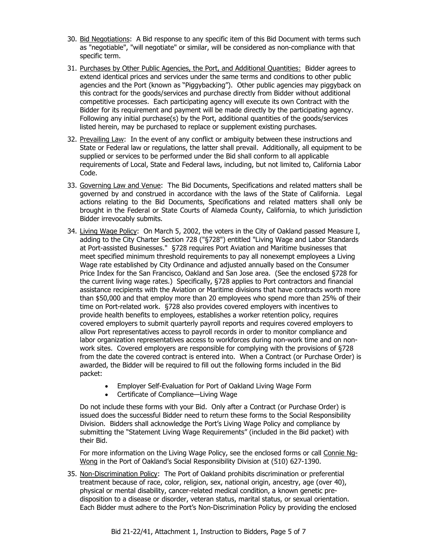- 30. Bid Negotiations: A Bid response to any specific item of this Bid Document with terms such as "negotiable", "will negotiate" or similar, will be considered as non-compliance with that specific term.
- 31. Purchases by Other Public Agencies, the Port, and Additional Quantities: Bidder agrees to extend identical prices and services under the same terms and conditions to other public agencies and the Port (known as "Piggybacking"). Other public agencies may piggyback on this contract for the goods/services and purchase directly from Bidder without additional competitive processes. Each participating agency will execute its own Contract with the Bidder for its requirement and payment will be made directly by the participating agency. Following any initial purchase(s) by the Port, additional quantities of the goods/services listed herein, may be purchased to replace or supplement existing purchases.
- 32. Prevailing Law: In the event of any conflict or ambiguity between these instructions and State or Federal law or regulations, the latter shall prevail. Additionally, all equipment to be supplied or services to be performed under the Bid shall conform to all applicable requirements of Local, State and Federal laws, including, but not limited to, California Labor Code.
- 33. Governing Law and Venue: The Bid Documents, Specifications and related matters shall be governed by and construed in accordance with the laws of the State of California. Legal actions relating to the Bid Documents, Specifications and related matters shall only be brought in the Federal or State Courts of Alameda County, California, to which jurisdiction Bidder irrevocably submits.
- 34. Living Wage Policy: On March 5, 2002, the voters in the City of Oakland passed Measure I, adding to the City Charter Section 728 ("§728") entitled "Living Wage and Labor Standards at Port-assisted Businesses." §728 requires Port Aviation and Maritime businesses that meet specified minimum threshold requirements to pay all nonexempt employees a Living Wage rate established by City Ordinance and adjusted annually based on the Consumer Price Index for the San Francisco, Oakland and San Jose area. (See the enclosed §728 for the current living wage rates.) Specifically, §728 applies to Port contractors and financial assistance recipients with the Aviation or Maritime divisions that have contracts worth more than \$50,000 and that employ more than 20 employees who spend more than 25% of their time on Port-related work. §728 also provides covered employers with incentives to provide health benefits to employees, establishes a worker retention policy, requires covered employers to submit quarterly payroll reports and requires covered employers to allow Port representatives access to payroll records in order to monitor compliance and labor organization representatives access to workforces during non-work time and on nonwork sites. Covered employers are responsible for complying with the provisions of §728 from the date the covered contract is entered into. When a Contract (or Purchase Order) is awarded, the Bidder will be required to fill out the following forms included in the Bid packet:
	- Employer Self-Evaluation for Port of Oakland Living Wage Form
	- Certificate of Compliance—Living Wage

Do not include these forms with your Bid. Only after a Contract (or Purchase Order) is issued does the successful Bidder need to return these forms to the Social Responsibility Division. Bidders shall acknowledge the Port's Living Wage Policy and compliance by submitting the "Statement Living Wage Requirements" (included in the Bid packet) with their Bid.

For more information on the Living Wage Policy, see the enclosed forms or call Connie Ng-Wong in the Port of Oakland's Social Responsibility Division at (510) 627-1390.

35. Non-Discrimination Policy: The Port of Oakland prohibits discrimination or preferential treatment because of race, color, religion, sex, national origin, ancestry, age (over 40), physical or mental disability, cancer-related medical condition, a known genetic predisposition to a disease or disorder, veteran status, marital status, or sexual orientation. Each Bidder must adhere to the Port's Non-Discrimination Policy by providing the enclosed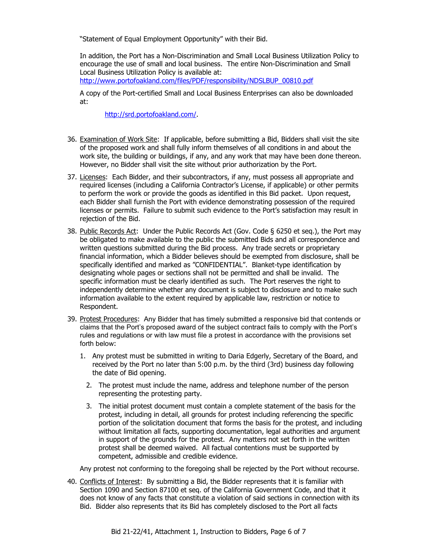"Statement of Equal Employment Opportunity" with their Bid.

In addition, the Port has a Non-Discrimination and Small Local Business Utilization Policy to encourage the use of small and local business. The entire Non-Discrimination and Small Local Business Utilization Policy is available at:

[http://www.portofoakland.com/files/PDF/responsibility/NDSLBUP\\_00810.pdf](http://www.portofoakland.com/files/PDF/responsibility/NDSLBUP_00810.pdf)

A copy of the Port-certified Small and Local Business Enterprises can also be downloaded at:

[http://srd.portofoakland.com/.](http://srd.portofoakland.com/)

- 36. Examination of Work Site: If applicable, before submitting a Bid, Bidders shall visit the site of the proposed work and shall fully inform themselves of all conditions in and about the work site, the building or buildings, if any, and any work that may have been done thereon. However, no Bidder shall visit the site without prior authorization by the Port.
- 37. Licenses: Each Bidder, and their subcontractors, if any, must possess all appropriate and required licenses (including a California Contractor's License, if applicable) or other permits to perform the work or provide the goods as identified in this Bid packet. Upon request, each Bidder shall furnish the Port with evidence demonstrating possession of the required licenses or permits. Failure to submit such evidence to the Port's satisfaction may result in rejection of the Bid.
- 38. Public Records Act: Under the Public Records Act (Gov. Code § 6250 et seq.), the Port may be obligated to make available to the public the submitted Bids and all correspondence and written questions submitted during the Bid process. Any trade secrets or proprietary financial information, which a Bidder believes should be exempted from disclosure, shall be specifically identified and marked as "CONFIDENTIAL". Blanket-type identification by designating whole pages or sections shall not be permitted and shall be invalid. The specific information must be clearly identified as such. The Port reserves the right to independently determine whether any document is subject to disclosure and to make such information available to the extent required by applicable law, restriction or notice to Respondent.
- 39. Protest Procedures:Any Bidder that has timely submitted a responsive bid that contends or claims that the Port's proposed award of the subject contract fails to comply with the Port's rules and regulations or with law must file a protest in accordance with the provisions set forth below:
	- 1. Any protest must be submitted in writing to Daria Edgerly, Secretary of the Board, and received by the Port no later than 5:00 p.m. by the third (3rd) business day following the date of Bid opening.
		- 2. The protest must include the name, address and telephone number of the person representing the protesting party.
		- 3. The initial protest document must contain a complete statement of the basis for the protest, including in detail, all grounds for protest including referencing the specific portion of the solicitation document that forms the basis for the protest, and including without limitation all facts, supporting documentation, legal authorities and argument in support of the grounds for the protest. Any matters not set forth in the written protest shall be deemed waived. All factual contentions must be supported by competent, admissible and credible evidence.

Any protest not conforming to the foregoing shall be rejected by the Port without recourse.

40. Conflicts of Interest: By submitting a Bid, the Bidder represents that it is familiar with Section 1090 and Section 87100 et seq. of the California Government Code, and that it does not know of any facts that constitute a violation of said sections in connection with its Bid. Bidder also represents that its Bid has completely disclosed to the Port all facts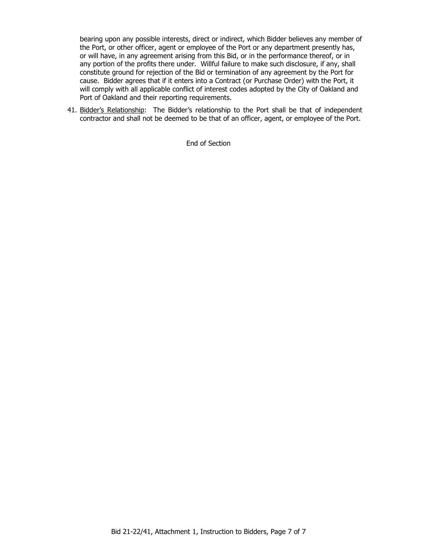bearing upon any possible interests, direct or indirect, which Bidder believes any member of the Port, or other officer, agent or employee of the Port or any department presently has, or will have, in any agreement arising from this Bid, or in the performance thereof, or in any portion of the profits there under. Willful failure to make such disclosure, if any, shall constitute ground for rejection of the Bid or termination of any agreement by the Port for cause. Bidder agrees that if it enters into a Contract (or Purchase Order) with the Port, it will comply with all applicable conflict of interest codes adopted by the City of Oakland and Port of Oakland and their reporting requirements.

41. Bidder's Relationship: The Bidder's relationship to the Port shall be that of independent contractor and shall not be deemed to be that of an officer, agent, or employee of the Port.

End of Section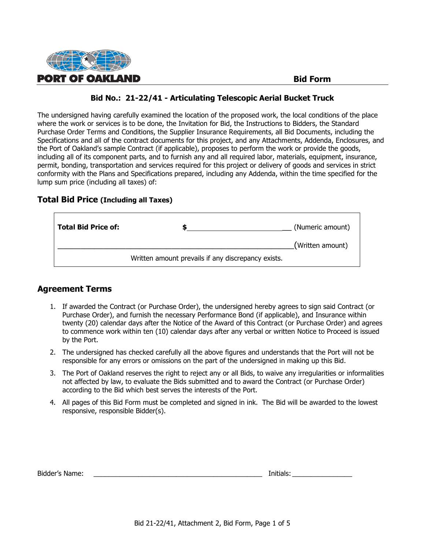

The undersigned having carefully examined the location of the proposed work, the local conditions of the place where the work or services is to be done, the Invitation for Bid, the Instructions to Bidders, the Standard Purchase Order Terms and Conditions, the Supplier Insurance Requirements, all Bid Documents, including the Specifications and all of the contract documents for this project, and any Attachments, Addenda, Enclosures, and the Port of Oakland's sample Contract (if applicable), proposes to perform the work or provide the goods, including all of its component parts, and to furnish any and all required labor, materials, equipment, insurance, permit, bonding, transportation and services required for this project or delivery of goods and services in strict conformity with the Plans and Specifications prepared, including any Addenda, within the time specified for the lump sum price (including all taxes) of:

#### **Total Bid Price (Including all Taxes)**

| <b>Total Bid Price of:</b> |                                                    | (Numeric amount) |
|----------------------------|----------------------------------------------------|------------------|
|                            |                                                    | (Written amount) |
|                            | Written amount prevails if any discrepancy exists. |                  |

#### **Agreement Terms**

Г

- 1. If awarded the Contract (or Purchase Order), the undersigned hereby agrees to sign said Contract (or Purchase Order), and furnish the necessary Performance Bond (if applicable), and Insurance within twenty (20) calendar days after the Notice of the Award of this Contract (or Purchase Order) and agrees to commence work within ten (10) calendar days after any verbal or written Notice to Proceed is issued by the Port.
- 2. The undersigned has checked carefully all the above figures and understands that the Port will not be responsible for any errors or omissions on the part of the undersigned in making up this Bid.
- 3. The Port of Oakland reserves the right to reject any or all Bids, to waive any irregularities or informalities not affected by law, to evaluate the Bids submitted and to award the Contract (or Purchase Order) according to the Bid which best serves the interests of the Port.
- 4. All pages of this Bid Form must be completed and signed in ink. The Bid will be awarded to the lowest responsive, responsible Bidder(s).

| Bidder's Name: |  | Initials |
|----------------|--|----------|
|----------------|--|----------|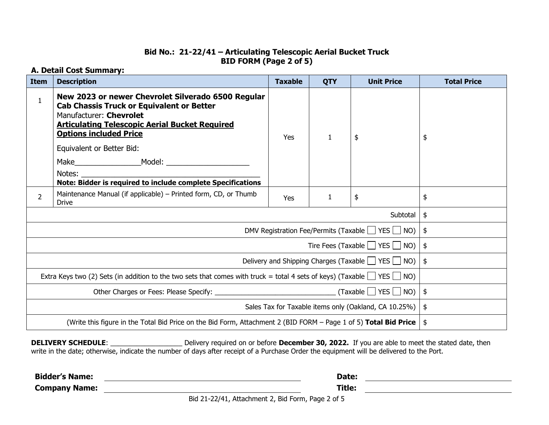#### **Bid No.: 21-22/41 – Articulating Telescopic Aerial Bucket Truck BID FORM (Page 2 of 5)**

#### **A. Detail Cost Summary:**

| <b>Item</b>                                                                                                                       | <b>Description</b>                                                                                                                                                                                                          | <b>Taxable</b> | <b>QTY</b>   | <b>Unit Price</b>                                           | <b>Total Price</b> |
|-----------------------------------------------------------------------------------------------------------------------------------|-----------------------------------------------------------------------------------------------------------------------------------------------------------------------------------------------------------------------------|----------------|--------------|-------------------------------------------------------------|--------------------|
| $\mathbf{1}$                                                                                                                      | New 2023 or newer Chevrolet Silverado 6500 Regular<br><b>Cab Chassis Truck or Equivalent or Better</b><br>Manufacturer: Chevrolet<br><b>Articulating Telescopic Aerial Bucket Required</b><br><b>Options included Price</b> | Yes            | $\mathbf{1}$ | \$                                                          | \$                 |
|                                                                                                                                   | Equivalent or Better Bid:                                                                                                                                                                                                   |                |              |                                                             |                    |
|                                                                                                                                   |                                                                                                                                                                                                                             |                |              |                                                             |                    |
|                                                                                                                                   | Notes:<br>Note: Bidder is required to include complete Specifications                                                                                                                                                       |                |              |                                                             |                    |
| $\overline{2}$                                                                                                                    | Maintenance Manual (if applicable) – Printed form, CD, or Thumb<br><b>Drive</b>                                                                                                                                             | Yes            | $\mathbf{1}$ | \$                                                          | \$                 |
|                                                                                                                                   | Subtotal                                                                                                                                                                                                                    |                |              | \$                                                          |                    |
|                                                                                                                                   |                                                                                                                                                                                                                             |                |              | DMV Registration Fee/Permits (Taxable $\Box$ YES $\Box$ NO) | $\frac{1}{2}$      |
| Tire Fees (Taxable $\Box$ YES $\Box$ NO)                                                                                          |                                                                                                                                                                                                                             |                |              | $\frac{1}{2}$                                               |                    |
| Delivery and Shipping Charges (Taxable $\Box$ YES $\Box$ NO)                                                                      |                                                                                                                                                                                                                             |                |              | $\frac{1}{2}$                                               |                    |
| Extra Keys two (2) Sets (in addition to the two sets that comes with truck = total 4 sets of keys) (Taxable $\Box$ YES $\Box$ NO) |                                                                                                                                                                                                                             |                |              |                                                             |                    |
|                                                                                                                                   |                                                                                                                                                                                                                             |                |              | $\frac{4}{5}$                                               |                    |
| Sales Tax for Taxable items only (Oakland, CA 10.25%)                                                                             |                                                                                                                                                                                                                             |                |              | \$                                                          |                    |
| (Write this figure in the Total Bid Price on the Bid Form, Attachment 2 (BID FORM – Page 1 of 5) Total Bid Price                  |                                                                                                                                                                                                                             |                | \$           |                                                             |                    |

**DELIVERY SCHEDULE**: \_\_\_\_\_\_\_\_\_\_\_\_\_\_\_\_\_\_\_ Delivery required on or before **December 30, 2022.** If you are able to meet the stated date, then write in the date; otherwise, indicate the number of days after receipt of a Purchase Order the equipment will be delivered to the Port.

**Bidder's Name:** <u>Constantine and Constantine and Constantine and Constantine and Constantine and Constantine and Constantine and Constantine and Constantine and Constantine and Constantine and Constantine and Constantine </u>

**Company Name: Title:**

Bid 21-22/41, Attachment 2, Bid Form, Page 2 of 5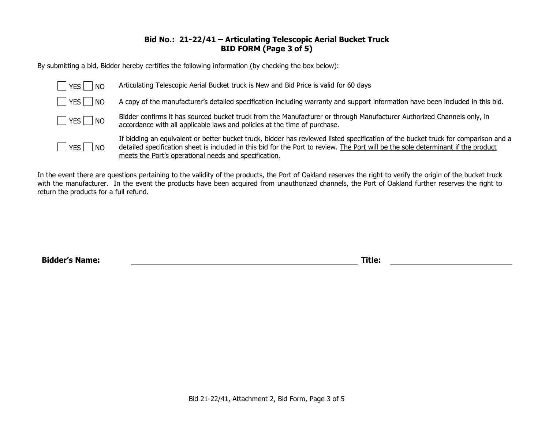#### **Bid No.: 21-22/41 – Articulating Telescopic Aerial Bucket Truck BID FORM (Page 3 of 5)**

By submitting a bid, Bidder hereby certifies the following information (by checking the box below):

| $ $   YES  <br>NO      | Articulating Telescopic Aerial Bucket truck is New and Bid Price is valid for 60 days                                                                                                                                                                                                                                            |
|------------------------|----------------------------------------------------------------------------------------------------------------------------------------------------------------------------------------------------------------------------------------------------------------------------------------------------------------------------------|
| $ $ $ $ YES $ $ $ $ NO | A copy of the manufacturer's detailed specification including warranty and support information have been included in this bid.                                                                                                                                                                                                   |
| $YES$ NO               | Bidder confirms it has sourced bucket truck from the Manufacturer or through Manufacturer Authorized Channels only, in<br>accordance with all applicable laws and policies at the time of purchase.                                                                                                                              |
| YES   NO               | If bidding an equivalent or better bucket truck, bidder has reviewed listed specification of the bucket truck for comparison and a<br>detailed specification sheet is included in this bid for the Port to review. The Port will be the sole determinant if the product<br>meets the Port's operational needs and specification. |

In the event there are questions pertaining to the validity of the products, the Port of Oakland reserves the right to verify the origin of the bucket truck with the manufacturer. In the event the products have been acquired from unauthorized channels, the Port of Oakland further reserves the right to return the products for a full refund.

**Bidder's Name: Title:**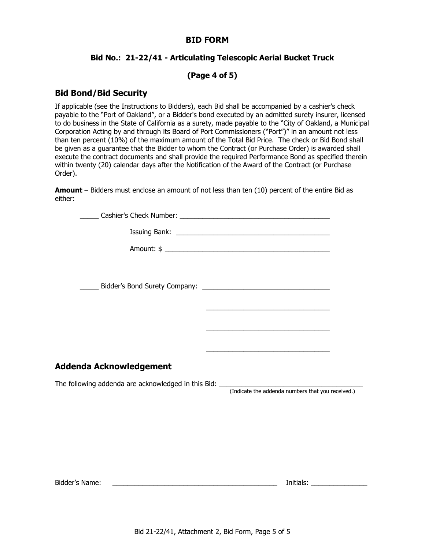#### **BID FORM**

#### **Bid No.: 21-22/41 - Articulating Telescopic Aerial Bucket Truck**

#### **(Page 4 of 5)**

#### **Bid Bond/Bid Security**

If applicable (see the Instructions to Bidders), each Bid shall be accompanied by a cashier's check payable to the "Port of Oakland", or a Bidder's bond executed by an admitted surety insurer, licensed to do business in the State of California as a surety, made payable to the "City of Oakland, a Municipal Corporation Acting by and through its Board of Port Commissioners ("Port")" in an amount not less than ten percent (10%) of the maximum amount of the Total Bid Price. The check or Bid Bond shall be given as a guarantee that the Bidder to whom the Contract (or Purchase Order) is awarded shall execute the contract documents and shall provide the required Performance Bond as specified therein within twenty (20) calendar days after the Notification of the Award of the Contract (or Purchase Order).

**Amount** – Bidders must enclose an amount of not less than ten (10) percent of the entire Bid as either:

| Addenda Acknowledgement                                                          |  |
|----------------------------------------------------------------------------------|--|
| The following addenda are acknowledged in this Bid: ____________________________ |  |

(Indicate the addenda numbers that you received.)

Bidder's Name: \_\_\_\_\_\_\_\_\_\_\_\_\_\_\_\_\_\_\_\_\_\_\_\_\_\_\_\_\_\_\_\_\_\_\_\_\_\_\_\_\_\_\_\_ Initials: \_\_\_\_\_\_\_\_\_\_\_\_\_\_\_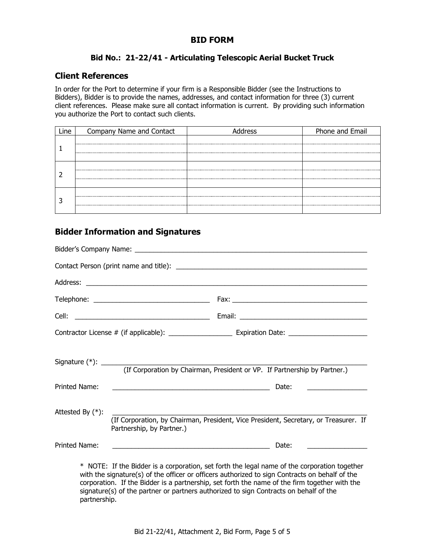# **BID FORM**

# **Bid No.: 21-22/41 - Articulating Telescopic Aerial Bucket Truck**

# **Client References**

In order for the Port to determine if your firm is a Responsible Bidder (see the Instructions to Bidders), Bidder is to provide the names, addresses, and contact information for three (3) current client references. Please make sure all contact information is current. By providing such information you authorize the Port to contact such clients.

| <b>Ine</b> | Company Name and Contact | dress | Phone and Email |
|------------|--------------------------|-------|-----------------|
|            |                          |       |                 |
|            |                          |       |                 |
|            |                          |       |                 |
|            |                          |       |                 |
|            |                          |       |                 |
|            |                          |       |                 |
|            |                          |       |                 |
|            |                          |       |                 |

# **Bidder Information and Signatures**

|                     | (If Corporation by Chairman, President or VP. If Partnership by Partner.)                                                                                                                      |  |
|---------------------|------------------------------------------------------------------------------------------------------------------------------------------------------------------------------------------------|--|
| Printed Name:       | Date:<br><u> Alexandria de la contrada de la contrada de la contrada de la contrada de la contrada de la contrada de la c</u>                                                                  |  |
| Attested By $(*)$ : | (If Corporation, by Chairman, President, Vice President, Secretary, or Treasurer. If<br>Partnership, by Partner.)                                                                              |  |
| Printed Name:       | Date:                                                                                                                                                                                          |  |
|                     | * NOTE: If the Bidder is a corporation, set forth the legal name of the corporation together<br>with the signature(s) of the officer or officers authorized to sign Contracts on behalf of the |  |

corporation. If the Bidder is a partnership, set forth the name of the firm together with the signature(s) of the partner or partners authorized to sign Contracts on behalf of the partnership.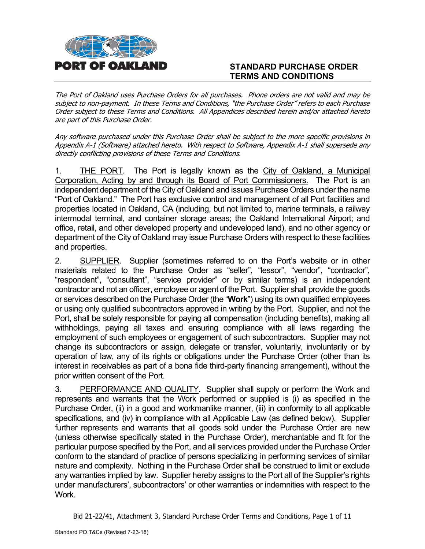

# **STANDARD PURCHASE ORDER TERMS AND CONDITIONS**

The Port of Oakland uses Purchase Orders for all purchases. Phone orders are not valid and may be subject to non-payment. In these Terms and Conditions, "the Purchase Order" refers to each Purchase Order subject to these Terms and Conditions. All Appendices described herein and/or attached hereto are part of this Purchase Order.

Any software purchased under this Purchase Order shall be subject to the more specific provisions in Appendix A-1 (Software) attached hereto. With respect to Software, Appendix A-1 shall supersede any directly conflicting provisions of these Terms and Conditions.

1. THE PORT. The Port is legally known as the City of Oakland, a Municipal Corporation, Acting by and through its Board of Port Commissioners. The Port is an independent department of the City of Oakland and issues Purchase Orders under the name "Port of Oakland." The Port has exclusive control and management of all Port facilities and properties located in Oakland, CA (including, but not limited to, marine terminals, a railway intermodal terminal, and container storage areas; the Oakland International Airport; and office, retail, and other developed property and undeveloped land), and no other agency or department of the City of Oakland may issue Purchase Orders with respect to these facilities and properties.

2. SUPPLIER. Supplier (sometimes referred to on the Port's website or in other materials related to the Purchase Order as "seller", "lessor", "vendor", "contractor", "respondent", "consultant", "service provider" or by similar terms) is an independent contractor and not an officer, employee or agent of the Port. Supplier shall provide the goods or services described on the Purchase Order (the "**Work**") using its own qualified employees or using only qualified subcontractors approved in writing by the Port. Supplier, and not the Port, shall be solely responsible for paying all compensation (including benefits), making all withholdings, paying all taxes and ensuring compliance with all laws regarding the employment of such employees or engagement of such subcontractors. Supplier may not change its subcontractors or assign, delegate or transfer, voluntarily, involuntarily or by operation of law, any of its rights or obligations under the Purchase Order (other than its interest in receivables as part of a bona fide third-party financing arrangement), without the prior written consent of the Port.

3. PERFORMANCE AND QUALITY. Supplier shall supply or perform the Work and represents and warrants that the Work performed or supplied is (i) as specified in the Purchase Order, (ii) in a good and workmanlike manner, (iii) in conformity to all applicable specifications, and (iv) in compliance with all Applicable Law (as defined below). Supplier further represents and warrants that all goods sold under the Purchase Order are new (unless otherwise specifically stated in the Purchase Order), merchantable and fit for the particular purpose specified by the Port, and all services provided under the Purchase Order conform to the standard of practice of persons specializing in performing services of similar nature and complexity. Nothing in the Purchase Order shall be construed to limit or exclude any warranties implied by law. Supplier hereby assigns to the Port all of the Supplier's rights under manufacturers', subcontractors' or other warranties or indemnities with respect to the Work.

Bid 21-22/41, Attachment 3, Standard Purchase Order Terms and Conditions, Page 1 of 11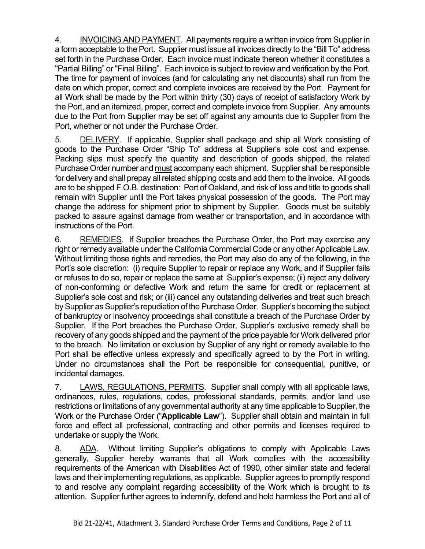4. INVOICING AND PAYMENT. All payments require a written invoice from Supplier in a form acceptable to the Port. Supplier must issue all invoices directly to the "Bill To" address set forth in the Purchase Order. Each invoice must indicate thereon whether it constitutes a "Partial Billing" or "Final Billing". Each invoice is subject to review and verification by the Port. The time for payment of invoices (and for calculating any net discounts) shall run from the date on which proper, correct and complete invoices are received by the Port. Payment for all Work shall be made by the Port within thirty (30) days of receipt of satisfactory Work by the Port, and an itemized, proper, correct and complete invoice from Supplier. Any amounts due to the Port from Supplier may be set off against any amounts due to Supplier from the Port, whether or not under the Purchase Order.

5. DELIVERY. If applicable, Supplier shall package and ship all Work consisting of goods to the Purchase Order "Ship To" address at Supplier's sole cost and expense. Packing slips must specify the quantity and description of goods shipped, the related Purchase Order number and must accompany each shipment. Supplier shall be responsible for delivery and shall prepay all related shipping costs and add them to the invoice. All goods are to be shipped F.O.B. destination: Port of Oakland, and risk of loss and title to goods shall remain with Supplier until the Port takes physical possession of the goods. The Port may change the address for shipment prior to shipment by Supplier. Goods must be suitably packed to assure against damage from weather or transportation, and in accordance with instructions of the Port.

6. REMEDIES. If Supplier breaches the Purchase Order, the Port may exercise any right or remedy available under the California Commercial Code or any other Applicable Law. Without limiting those rights and remedies, the Port may also do any of the following, in the Port's sole discretion: (i) require Supplier to repair or replace any Work, and if Supplier fails or refuses to do so, repair or replace the same at Supplier's expense; (ii) reject any delivery of non-conforming or defective Work and return the same for credit or replacement at Supplier's sole cost and risk; or (iii) cancel any outstanding deliveries and treat such breach by Supplier as Supplier's repudiation of the Purchase Order. Supplier's becoming the subject of bankruptcy or insolvency proceedings shall constitute a breach of the Purchase Order by Supplier. If the Port breaches the Purchase Order, Supplier's exclusive remedy shall be recovery of any goods shipped and the payment of the price payable for Work delivered prior to the breach. No limitation or exclusion by Supplier of any right or remedy available to the Port shall be effective unless expressly and specifically agreed to by the Port in writing. Under no circumstances shall the Port be responsible for consequential, punitive, or incidental damages.

7. LAWS, REGULATIONS, PERMITS. Supplier shall comply with all applicable laws, ordinances, rules, regulations, codes, professional standards, permits, and/or land use restrictions or limitations of any governmental authority at any time applicable to Supplier, the Work or the Purchase Order ("**Applicable Law**"). Supplier shall obtain and maintain in full force and effect all professional, contracting and other permits and licenses required to undertake or supply the Work.

8. ADA. Without limiting Supplier's obligations to comply with Applicable Laws generally, Supplier hereby warrants that all Work complies with the accessibility requirements of the American with Disabilities Act of 1990, other similar state and federal laws and their implementing regulations, as applicable. Supplier agrees to promptly respond to and resolve any complaint regarding accessibility of the Work which is brought to its attention. Supplier further agrees to indemnify, defend and hold harmless the Port and all of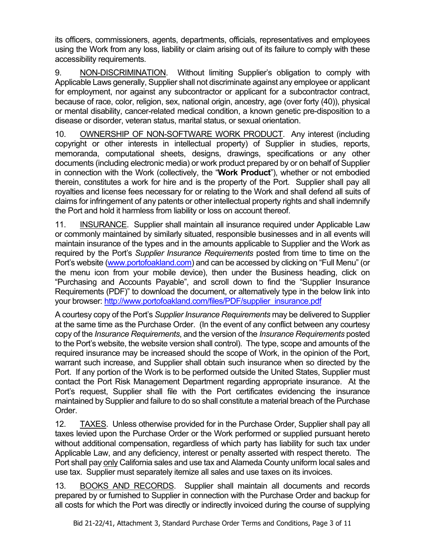its officers, commissioners, agents, departments, officials, representatives and employees using the Work from any loss, liability or claim arising out of its failure to comply with these accessibility requirements.

9. NON-DISCRIMINATION. Without limiting Supplier's obligation to comply with Applicable Laws generally, Supplier shall not discriminate against any employee or applicant for employment, nor against any subcontractor or applicant for a subcontractor contract, because of race, color, religion, sex, national origin, ancestry, age (over forty (40)), physical or mental disability, cancer-related medical condition, a known genetic pre-disposition to a disease or disorder, veteran status, marital status, or sexual orientation.

10. OWNERSHIP OF NON-SOFTWARE WORK PRODUCT. Any interest (including copyright or other interests in intellectual property) of Supplier in studies, reports, memoranda, computational sheets, designs, drawings, specifications or any other documents (including electronic media) or work product prepared by or on behalf of Supplier in connection with the Work (collectively, the "**Work Product**"), whether or not embodied therein, constitutes a work for hire and is the property of the Port. Supplier shall pay all royalties and license fees necessary for or relating to the Work and shall defend all suits of claims for infringement of any patents or other intellectual property rights and shall indemnify the Port and hold it harmless from liability or loss on account thereof.

11. INSURANCE. Supplier shall maintain all insurance required under Applicable Law or commonly maintained by similarly situated, responsible businesses and in all events will maintain insurance of the types and in the amounts applicable to Supplier and the Work as required by the Port's *Supplier Insurance Requirements* posted from time to time on the Port's website [\(www.portofoakland.com\)](http://www.portofoakland.com/) and can be accessed by clicking on "Full Menu" (or the menu icon from your mobile device), then under the Business heading, click on "Purchasing and Accounts Payable", and scroll down to find the "Supplier Insurance Requirements (PDF)" to download the document, or alternatively type in the below link into your browser: [http://www.portofoakland.com/files/PDF/supplier\\_insurance.pdf](http://www.portofoakland.com/files/PDF/supplier_insurance.pdf)

A courtesy copy of the Port's *Supplier Insurance Requirements* may be delivered to Supplier at the same time as the Purchase Order. (In the event of any conflict between any courtesy copy of the *Insurance Requirements*, and the version of the *Insurance Requirements* posted to the Port's website, the website version shall control). The type, scope and amounts of the required insurance may be increased should the scope of Work, in the opinion of the Port, warrant such increase, and Supplier shall obtain such insurance when so directed by the Port. If any portion of the Work is to be performed outside the United States, Supplier must contact the Port Risk Management Department regarding appropriate insurance. At the Port's request, Supplier shall file with the Port certificates evidencing the insurance maintained by Supplier and failure to do so shall constitute a material breach of the Purchase Order.

12. TAXES. Unless otherwise provided for in the Purchase Order, Supplier shall pay all taxes levied upon the Purchase Order or the Work performed or supplied pursuant hereto without additional compensation, regardless of which party has liability for such tax under Applicable Law, and any deficiency, interest or penalty asserted with respect thereto. The Port shall pay only California sales and use tax and Alameda County uniform local sales and use tax. Supplier must separately itemize all sales and use taxes on its invoices.

13. BOOKS AND RECORDS. Supplier shall maintain all documents and records prepared by or furnished to Supplier in connection with the Purchase Order and backup for all costs for which the Port was directly or indirectly invoiced during the course of supplying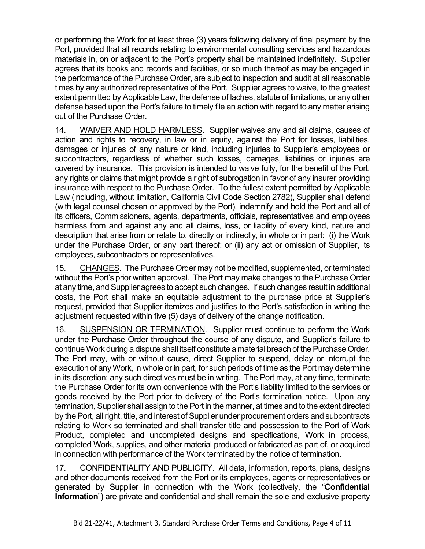or performing the Work for at least three (3) years following delivery of final payment by the Port, provided that all records relating to environmental consulting services and hazardous materials in, on or adjacent to the Port's property shall be maintained indefinitely. Supplier agrees that its books and records and facilities, or so much thereof as may be engaged in the performance of the Purchase Order, are subject to inspection and audit at all reasonable times by any authorized representative of the Port. Supplier agrees to waive, to the greatest extent permitted by Applicable Law, the defense of laches, statute of limitations, or any other defense based upon the Port's failure to timely file an action with regard to any matter arising out of the Purchase Order.

14. WAIVER AND HOLD HARMLESS. Supplier waives any and all claims, causes of action and rights to recovery, in law or in equity, against the Port for losses, liabilities, damages or injuries of any nature or kind, including injuries to Supplier's employees or subcontractors, regardless of whether such losses, damages, liabilities or injuries are covered by insurance. This provision is intended to waive fully, for the benefit of the Port, any rights or claims that might provide a right of subrogation in favor of any insurer providing insurance with respect to the Purchase Order. To the fullest extent permitted by Applicable Law (including, without limitation, California Civil Code Section 2782), Supplier shall defend (with legal counsel chosen or approved by the Port), indemnify and hold the Port and all of its officers, Commissioners, agents, departments, officials, representatives and employees harmless from and against any and all claims, loss, or liability of every kind, nature and description that arise from or relate to, directly or indirectly, in whole or in part: (i) the Work under the Purchase Order, or any part thereof; or (ii) any act or omission of Supplier, its employees, subcontractors or representatives.

15. CHANGES. The Purchase Order may not be modified, supplemented, or terminated without the Port's prior written approval. The Port may make changes to the Purchase Order at any time, and Supplier agrees to accept such changes. If such changes result in additional costs, the Port shall make an equitable adjustment to the purchase price at Supplier's request, provided that Supplier itemizes and justifies to the Port's satisfaction in writing the adjustment requested within five (5) days of delivery of the change notification.

16. SUSPENSION OR TERMINATION. Supplier must continue to perform the Work under the Purchase Order throughout the course of any dispute, and Supplier's failure to continue Work during a dispute shall itself constitute a material breach of the Purchase Order. The Port may, with or without cause, direct Supplier to suspend, delay or interrupt the execution of any Work, in whole or in part, for such periods of time as the Port may determine in its discretion; any such directives must be in writing. The Port may, at any time, terminate the Purchase Order for its own convenience with the Port's liability limited to the services or goods received by the Port prior to delivery of the Port's termination notice. Upon any termination, Supplier shall assign to the Port in the manner, at times and to the extent directed by the Port, all right, title, and interest of Supplier under procurement orders and subcontracts relating to Work so terminated and shall transfer title and possession to the Port of Work Product, completed and uncompleted designs and specifications, Work in process, completed Work, supplies, and other material produced or fabricated as part of, or acquired in connection with performance of the Work terminated by the notice of termination.

17. CONFIDENTIALITY AND PUBLICITY. All data, information, reports, plans, designs and other documents received from the Port or its employees, agents or representatives or generated by Supplier in connection with the Work (collectively, the "**Confidential Information**") are private and confidential and shall remain the sole and exclusive property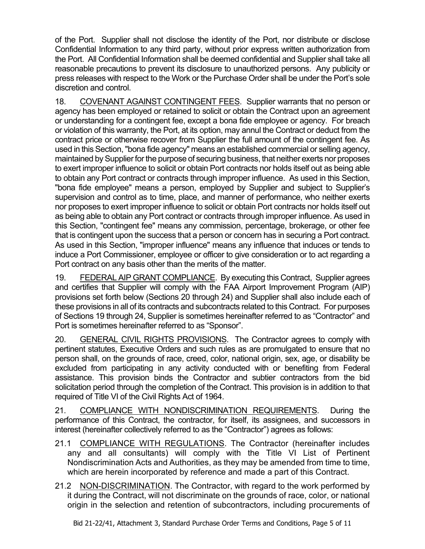of the Port. Supplier shall not disclose the identity of the Port, nor distribute or disclose Confidential Information to any third party, without prior express written authorization from the Port. All Confidential Information shall be deemed confidential and Supplier shall take all reasonable precautions to prevent its disclosure to unauthorized persons. Any publicity or press releases with respect to the Work or the Purchase Order shall be under the Port's sole discretion and control.

18. COVENANT AGAINST CONTINGENT FEES. Supplier warrants that no person or agency has been employed or retained to solicit or obtain the Contract upon an agreement or understanding for a contingent fee, except a bona fide employee or agency. For breach or violation of this warranty, the Port, at its option, may annul the Contract or deduct from the contract price or otherwise recover from Supplier the full amount of the contingent fee. As used in this Section, "bona fide agency" means an established commercial or selling agency, maintained by Supplier for the purpose of securing business, that neither exerts nor proposes to exert improper influence to solicit or obtain Port contracts nor holds itself out as being able to obtain any Port contract or contracts through improper influence. As used in this Section, "bona fide employee" means a person, employed by Supplier and subject to Supplier's supervision and control as to time, place, and manner of performance, who neither exerts nor proposes to exert improper influence to solicit or obtain Port contracts nor holds itself out as being able to obtain any Port contract or contracts through improper influence. As used in this Section, "contingent fee" means any commission, percentage, brokerage, or other fee that is contingent upon the success that a person or concern has in securing a Port contract. As used in this Section, "improper influence" means any influence that induces or tends to induce a Port Commissioner, employee or officer to give consideration or to act regarding a Port contract on any basis other than the merits of the matter.

19. FEDERAL AIP GRANT COMPLIANCE. By executing this Contract, Supplier agrees and certifies that Supplier will comply with the FAA Airport Improvement Program (AIP) provisions set forth below (Sections 20 through 24) and Supplier shall also include each of these provisions in all of its contracts and subcontracts related to this Contract. For purposes of Sections 19 through 24, Supplier is sometimes hereinafter referred to as "Contractor" and Port is sometimes hereinafter referred to as "Sponsor".

20. GENERAL CIVIL RIGHTS PROVISIONS. The Contractor agrees to comply with pertinent statutes, Executive Orders and such rules as are promulgated to ensure that no person shall, on the grounds of race, creed, color, national origin, sex, age, or disability be excluded from participating in any activity conducted with or benefiting from Federal assistance. This provision binds the Contractor and subtier contractors from the bid solicitation period through the completion of the Contract. This provision is in addition to that required of Title VI of the Civil Rights Act of 1964.

21. COMPLIANCE WITH NONDISCRIMINATION REQUIREMENTS. During the performance of this Contract, the contractor, for itself, its assignees, and successors in interest (hereinafter collectively referred to as the "Contractor") agrees as follows:

- 21.1 COMPLIANCE WITH REGULATIONS. The Contractor (hereinafter includes any and all consultants) will comply with the Title VI List of Pertinent Nondiscrimination Acts and Authorities, as they may be amended from time to time, which are herein incorporated by reference and made a part of this Contract.
- 21.2 NON-DISCRIMINATION. The Contractor, with regard to the work performed by it during the Contract, will not discriminate on the grounds of race, color, or national origin in the selection and retention of subcontractors, including procurements of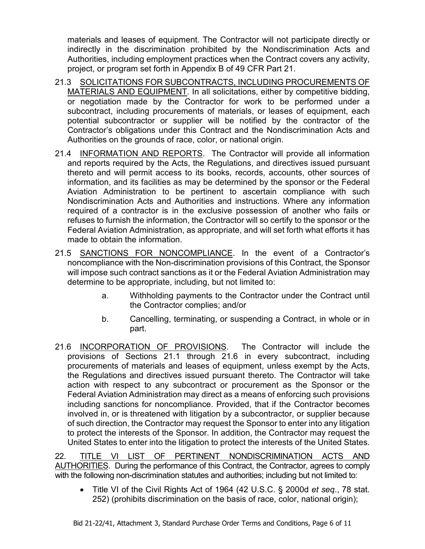materials and leases of equipment. The Contractor will not participate directly or indirectly in the discrimination prohibited by the Nondiscrimination Acts and Authorities, including employment practices when the Contract covers any activity, project, or program set forth in Appendix B of 49 CFR Part 21.

- 21.3 SOLICITATIONS FOR SUBCONTRACTS, INCLUDING PROCUREMENTS OF MATERIALS AND EQUIPMENT. In all solicitations, either by competitive bidding, or negotiation made by the Contractor for work to be performed under a subcontract, including procurements of materials, or leases of equipment, each potential subcontractor or supplier will be notified by the contractor of the Contractor's obligations under this Contract and the Nondiscrimination Acts and Authorities on the grounds of race, color, or national origin.
- 21.4 INFORMATION AND REPORTS. The Contractor will provide all information and reports required by the Acts, the Regulations, and directives issued pursuant thereto and will permit access to its books, records, accounts, other sources of information, and its facilities as may be determined by the sponsor or the Federal Aviation Administration to be pertinent to ascertain compliance with such Nondiscrimination Acts and Authorities and instructions. Where any information required of a contractor is in the exclusive possession of another who fails or refuses to furnish the information, the Contractor will so certify to the sponsor or the Federal Aviation Administration, as appropriate, and will set forth what efforts it has made to obtain the information.
- 21.5 SANCTIONS FOR NONCOMPLIANCE. In the event of a Contractor's noncompliance with the Non-discrimination provisions of this Contract, the Sponsor will impose such contract sanctions as it or the Federal Aviation Administration may determine to be appropriate, including, but not limited to:
	- a. Withholding payments to the Contractor under the Contract until the Contractor complies; and/or
	- b. Cancelling, terminating, or suspending a Contract, in whole or in part.
- 21.6 INCORPORATION OF PROVISIONS.The Contractor will include the provisions of Sections 21.1 through 21.6 in every subcontract, including procurements of materials and leases of equipment, unless exempt by the Acts, the Regulations and directives issued pursuant thereto. The Contractor will take action with respect to any subcontract or procurement as the Sponsor or the Federal Aviation Administration may direct as a means of enforcing such provisions including sanctions for noncompliance. Provided, that if the Contractor becomes involved in, or is threatened with litigation by a subcontractor, or supplier because of such direction, the Contractor may request the Sponsor to enter into any litigation to protect the interests of the Sponsor. In addition, the Contractor may request the United States to enter into the litigation to protect the interests of the United States.

22. TITLE VI LIST OF PERTINENT NONDISCRIMINATION ACTS AND AUTHORITIES. During the performance of this Contract, the Contractor, agrees to comply with the following non-discrimination statutes and authorities; including but not limited to:

• Title VI of the Civil Rights Act of 1964 (42 U.S.C. § 2000d *et seq*., 78 stat. 252) (prohibits discrimination on the basis of race, color, national origin);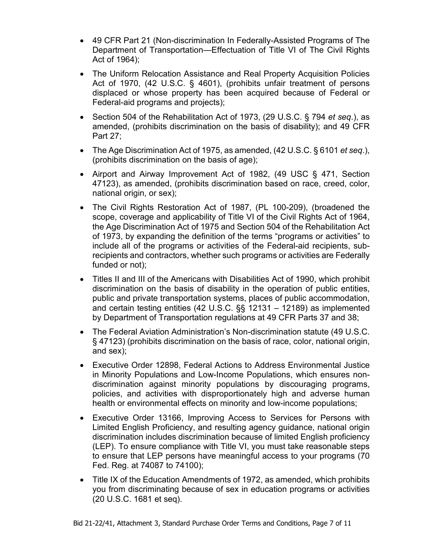- 49 CFR Part 21 (Non-discrimination In Federally-Assisted Programs of The Department of Transportation—Effectuation of Title VI of The Civil Rights Act of 1964);
- The Uniform Relocation Assistance and Real Property Acquisition Policies Act of 1970, (42 U.S.C. § 4601), (prohibits unfair treatment of persons displaced or whose property has been acquired because of Federal or Federal-aid programs and projects);
- Section 504 of the Rehabilitation Act of 1973, (29 U.S.C. § 794 *et seq*.), as amended, (prohibits discrimination on the basis of disability); and 49 CFR Part 27;
- The Age Discrimination Act of 1975, as amended, (42 U.S.C. § 6101 *et seq*.), (prohibits discrimination on the basis of age);
- Airport and Airway Improvement Act of 1982, (49 USC § 471, Section 47123), as amended, (prohibits discrimination based on race, creed, color, national origin, or sex);
- The Civil Rights Restoration Act of 1987, (PL 100-209), (broadened the scope, coverage and applicability of Title VI of the Civil Rights Act of 1964, the Age Discrimination Act of 1975 and Section 504 of the Rehabilitation Act of 1973, by expanding the definition of the terms "programs or activities" to include all of the programs or activities of the Federal-aid recipients, subrecipients and contractors, whether such programs or activities are Federally funded or not);
- Titles II and III of the Americans with Disabilities Act of 1990, which prohibit discrimination on the basis of disability in the operation of public entities, public and private transportation systems, places of public accommodation, and certain testing entities (42 U.S.C. §§ 12131 – 12189) as implemented by Department of Transportation regulations at 49 CFR Parts 37 and 38;
- The Federal Aviation Administration's Non-discrimination statute (49 U.S.C. § 47123) (prohibits discrimination on the basis of race, color, national origin, and sex);
- Executive Order 12898, Federal Actions to Address Environmental Justice in Minority Populations and Low-Income Populations, which ensures nondiscrimination against minority populations by discouraging programs, policies, and activities with disproportionately high and adverse human health or environmental effects on minority and low-income populations;
- Executive Order 13166, Improving Access to Services for Persons with Limited English Proficiency, and resulting agency guidance, national origin discrimination includes discrimination because of limited English proficiency (LEP). To ensure compliance with Title VI, you must take reasonable steps to ensure that LEP persons have meaningful access to your programs (70 Fed. Reg. at 74087 to 74100);
- Title IX of the Education Amendments of 1972, as amended, which prohibits you from discriminating because of sex in education programs or activities (20 U.S.C. 1681 et seq).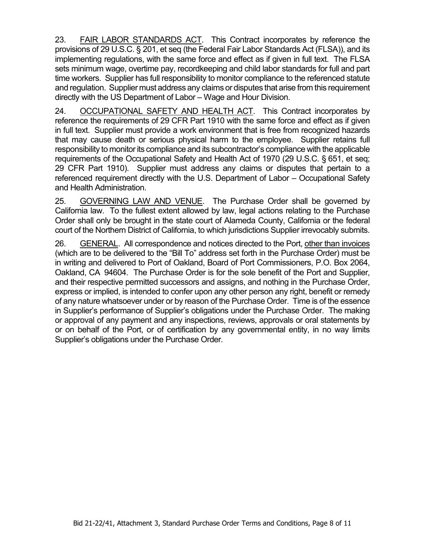23. FAIR LABOR STANDARDS ACT. This Contract incorporates by reference the provisions of 29 U.S.C. § 201, et seq (the Federal Fair Labor Standards Act (FLSA)), and its implementing regulations, with the same force and effect as if given in full text. The FLSA sets minimum wage, overtime pay, recordkeeping and child labor standards for full and part time workers. Supplier has full responsibility to monitor compliance to the referenced statute and regulation. Supplier must address any claims or disputes that arise from this requirement directly with the US Department of Labor – Wage and Hour Division.

24. OCCUPATIONAL SAFETY AND HEALTH ACT.This Contract incorporates by reference the requirements of 29 CFR Part 1910 with the same force and effect as if given in full text. Supplier must provide a work environment that is free from recognized hazards that may cause death or serious physical harm to the employee. Supplier retains full responsibility to monitor its compliance and its subcontractor's compliance with the applicable requirements of the Occupational Safety and Health Act of 1970 (29 U.S.C. § 651, et seq; 29 CFR Part 1910). Supplier must address any claims or disputes that pertain to a referenced requirement directly with the U.S. Department of Labor – Occupational Safety and Health Administration.

25. GOVERNING LAW AND VENUE. The Purchase Order shall be governed by California law. To the fullest extent allowed by law, legal actions relating to the Purchase Order shall only be brought in the state court of Alameda County, California or the federal court of the Northern District of California, to which jurisdictions Supplier irrevocably submits.

26. GENERAL. All correspondence and notices directed to the Port, other than invoices (which are to be delivered to the "Bill To" address set forth in the Purchase Order) must be in writing and delivered to Port of Oakland, Board of Port Commissioners, P.O. Box 2064, Oakland, CA 94604. The Purchase Order is for the sole benefit of the Port and Supplier, and their respective permitted successors and assigns, and nothing in the Purchase Order, express or implied, is intended to confer upon any other person any right, benefit or remedy of any nature whatsoever under or by reason of the Purchase Order. Time is of the essence in Supplier's performance of Supplier's obligations under the Purchase Order. The making or approval of any payment and any inspections, reviews, approvals or oral statements by or on behalf of the Port, or of certification by any governmental entity, in no way limits Supplier's obligations under the Purchase Order.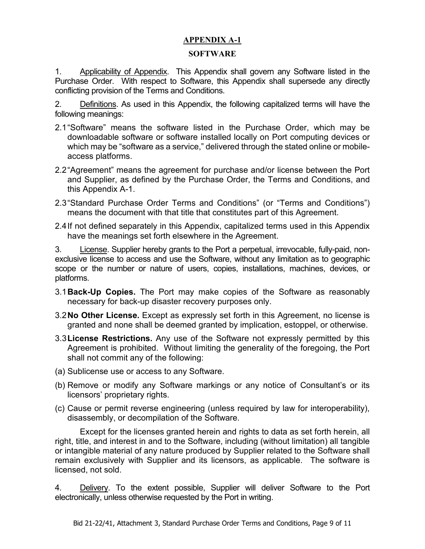# **APPENDIX A-1**

#### **SOFTWARE**

1. Applicability of Appendix. This Appendix shall govern any Software listed in the Purchase Order. With respect to Software, this Appendix shall supersede any directly conflicting provision of the Terms and Conditions.

2. Definitions. As used in this Appendix, the following capitalized terms will have the following meanings:

- 2.1"Software" means the software listed in the Purchase Order, which may be downloadable software or software installed locally on Port computing devices or which may be "software as a service," delivered through the stated online or mobileaccess platforms.
- 2.2"Agreement" means the agreement for purchase and/or license between the Port and Supplier, as defined by the Purchase Order, the Terms and Conditions, and this Appendix A-1.
- 2.3"Standard Purchase Order Terms and Conditions" (or "Terms and Conditions") means the document with that title that constitutes part of this Agreement.
- 2.4If not defined separately in this Appendix, capitalized terms used in this Appendix have the meanings set forth elsewhere in the Agreement.

3. License. Supplier hereby grants to the Port a perpetual, irrevocable, fully-paid, nonexclusive license to access and use the Software, without any limitation as to geographic scope or the number or nature of users, copies, installations, machines, devices, or platforms.

- 3.1**Back-Up Copies.** The Port may make copies of the Software as reasonably necessary for back-up disaster recovery purposes only.
- 3.2**No Other License.** Except as expressly set forth in this Agreement, no license is granted and none shall be deemed granted by implication, estoppel, or otherwise.
- 3.3**License Restrictions.** Any use of the Software not expressly permitted by this Agreement is prohibited. Without limiting the generality of the foregoing, the Port shall not commit any of the following:
- (a) Sublicense use or access to any Software.
- (b) Remove or modify any Software markings or any notice of Consultant's or its licensors' proprietary rights.
- (c) Cause or permit reverse engineering (unless required by law for interoperability), disassembly, or decompilation of the Software.

Except for the licenses granted herein and rights to data as set forth herein, all right, title, and interest in and to the Software, including (without limitation) all tangible or intangible material of any nature produced by Supplier related to the Software shall remain exclusively with Supplier and its licensors, as applicable. The software is licensed, not sold.

4. Delivery. To the extent possible, Supplier will deliver Software to the Port electronically, unless otherwise requested by the Port in writing.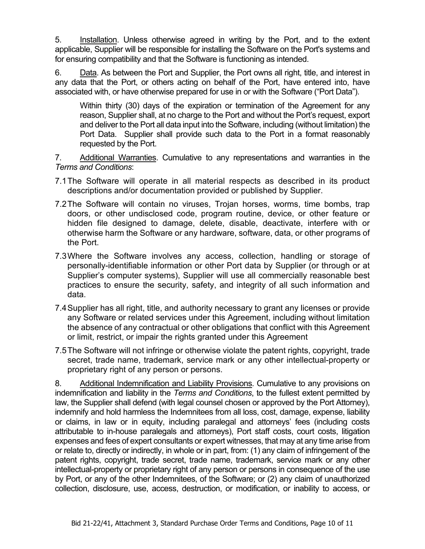5. Installation. Unless otherwise agreed in writing by the Port, and to the extent applicable, Supplier will be responsible for installing the Software on the Port's systems and for ensuring compatibility and that the Software is functioning as intended.

6. Data. As between the Port and Supplier, the Port owns all right, title, and interest in any data that the Port, or others acting on behalf of the Port, have entered into, have associated with, or have otherwise prepared for use in or with the Software ("Port Data").

Within thirty (30) days of the expiration or termination of the Agreement for any reason, Supplier shall, at no charge to the Port and without the Port's request, export and deliver to the Port all data input into the Software, including (without limitation) the Port Data. Supplier shall provide such data to the Port in a format reasonably requested by the Port.

7. Additional Warranties. Cumulative to any representations and warranties in the *Terms and Conditions*:

- 7.1The Software will operate in all material respects as described in its product descriptions and/or documentation provided or published by Supplier.
- 7.2The Software will contain no viruses, Trojan horses, worms, time bombs, trap doors, or other undisclosed code, program routine, device, or other feature or hidden file designed to damage, delete, disable, deactivate, interfere with or otherwise harm the Software or any hardware, software, data, or other programs of the Port.
- 7.3Where the Software involves any access, collection, handling or storage of personally-identifiable information or other Port data by Supplier (or through or at Supplier's computer systems), Supplier will use all commercially reasonable best practices to ensure the security, safety, and integrity of all such information and data.
- 7.4Supplier has all right, title, and authority necessary to grant any licenses or provide any Software or related services under this Agreement, including without limitation the absence of any contractual or other obligations that conflict with this Agreement or limit, restrict, or impair the rights granted under this Agreement
- 7.5The Software will not infringe or otherwise violate the patent rights, copyright, trade secret, trade name, trademark, service mark or any other intellectual-property or proprietary right of any person or persons.

8. Additional Indemnification and Liability Provisions. Cumulative to any provisions on indemnification and liability in the *Terms and Conditions*, to the fullest extent permitted by law, the Supplier shall defend (with legal counsel chosen or approved by the Port Attorney), indemnify and hold harmless the Indemnitees from all loss, cost, damage, expense, liability or claims, in law or in equity, including paralegal and attorneys' fees (including costs attributable to in-house paralegals and attorneys), Port staff costs, court costs, litigation expenses and fees of expert consultants or expert witnesses, that may at any time arise from or relate to, directly or indirectly, in whole or in part, from: (1) any claim of infringement of the patent rights, copyright, trade secret, trade name, trademark, service mark or any other intellectual-property or proprietary right of any person or persons in consequence of the use by Port, or any of the other Indemnitees, of the Software; or (2) any claim of unauthorized collection, disclosure, use, access, destruction, or modification, or inability to access, or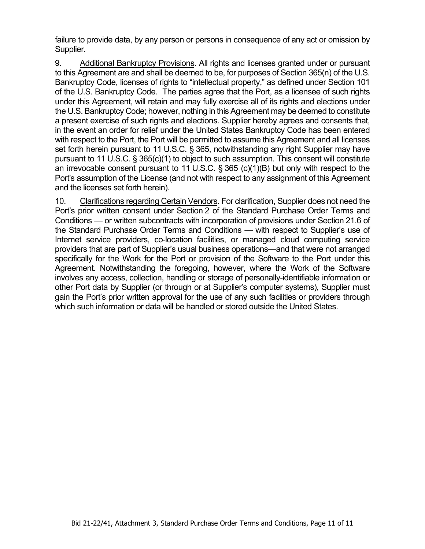failure to provide data, by any person or persons in consequence of any act or omission by Supplier.

9. Additional Bankruptcy Provisions. All rights and licenses granted under or pursuant to this Agreement are and shall be deemed to be, for purposes of Section 365(n) of the U.S. Bankruptcy Code, licenses of rights to "intellectual property," as defined under Section 101 of the U.S. Bankruptcy Code. The parties agree that the Port, as a licensee of such rights under this Agreement, will retain and may fully exercise all of its rights and elections under the U.S. Bankruptcy Code; however, nothing in this Agreement may be deemed to constitute a present exercise of such rights and elections. Supplier hereby agrees and consents that, in the event an order for relief under the United States Bankruptcy Code has been entered with respect to the Port, the Port will be permitted to assume this Agreement and all licenses set forth herein pursuant to 11 U.S.C. § 365, notwithstanding any right Supplier may have pursuant to 11 U.S.C. § 365(c)(1) to object to such assumption. This consent will constitute an irrevocable consent pursuant to 11 U.S.C. § 365 (c)(1)(B) but only with respect to the Port's assumption of the License (and not with respect to any assignment of this Agreement and the licenses set forth herein).

10. Clarifications regarding Certain Vendors. For clarification, Supplier does not need the Port's prior written consent under Section 2 of the Standard Purchase Order Terms and Conditions — or written subcontracts with incorporation of provisions under Section 21.6 of the Standard Purchase Order Terms and Conditions — with respect to Supplier's use of Internet service providers, co-location facilities, or managed cloud computing service providers that are part of Supplier's usual business operations—and that were not arranged specifically for the Work for the Port or provision of the Software to the Port under this Agreement. Notwithstanding the foregoing, however, where the Work of the Software involves any access, collection, handling or storage of personally-identifiable information or other Port data by Supplier (or through or at Supplier's computer systems), Supplier must gain the Port's prior written approval for the use of any such facilities or providers through which such information or data will be handled or stored outside the United States.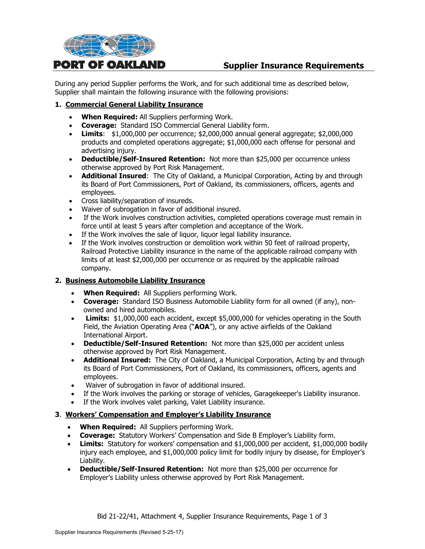

# **Supplier Insurance Requirements**

During any period Supplier performs the Work, and for such additional time as described below, Supplier shall maintain the following insurance with the following provisions:

#### **1. Commercial General Liability Insurance**

- **When Required:** All Suppliers performing Work.
- **Coverage:** Standard ISO Commercial General Liability form.
- **Limits**: \$1,000,000 per occurrence; \$2,000,000 annual general aggregate; \$2,000,000 products and completed operations aggregate; \$1,000,000 each offense for personal and advertising injury.
- **Deductible/Self-Insured Retention:** Not more than \$25,000 per occurrence unless otherwise approved by Port Risk Management.
- **Additional Insured**: The City of Oakland, a Municipal Corporation, Acting by and through its Board of Port Commissioners, Port of Oakland, its commissioners, officers, agents and employees.
- Cross liability/separation of insureds.
- Waiver of subrogation in favor of additional insured.
- If the Work involves construction activities, completed operations coverage must remain in force until at least 5 years after completion and acceptance of the Work.
- If the Work involves the sale of liquor, liquor legal liability insurance.
- If the Work involves construction or demolition work within 50 feet of railroad property, Railroad Protective Liability insurance in the name of the applicable railroad company with limits of at least \$2,000,000 per occurrence or as required by the applicable railroad company.

#### **2. Business Automobile Liability Insurance**

- **When Required:** All Suppliers performing Work.
- **Coverage:** Standard ISO Business Automobile Liability form for all owned (if any), nonowned and hired automobiles.
- **Limits:** \$1,000,000 each accident, except \$5,000,000 for vehicles operating in the South Field, the Aviation Operating Area ("**AOA**"), or any active airfields of the Oakland International Airport.
- **Deductible/Self-Insured Retention:** Not more than \$25,000 per accident unless otherwise approved by Port Risk Management.
- **Additional Insured:** The City of Oakland, a Municipal Corporation, Acting by and through its Board of Port Commissioners, Port of Oakland, its commissioners, officers, agents and employees.
- Waiver of subrogation in favor of additional insured.
- If the Work involves the parking or storage of vehicles, Garagekeeper's Liability insurance.
- If the Work involves valet parking, Valet Liability insurance.

#### **3**. **Workers' Compensation and Employer's Liability Insurance**

- **When Required:** All Suppliers performing Work.
- **Coverage:** Statutory Workers' Compensation and Side B Employer's Liability form.
- **Limits:** Statutory for workers' compensation and \$1,000,000 per accident, \$1,000,000 bodily injury each employee, and \$1,000,000 policy limit for bodily injury by disease, for Employer's Liability.
- **Deductible/Self-Insured Retention:** Not more than \$25,000 per occurrence for Employer's Liability unless otherwise approved by Port Risk Management.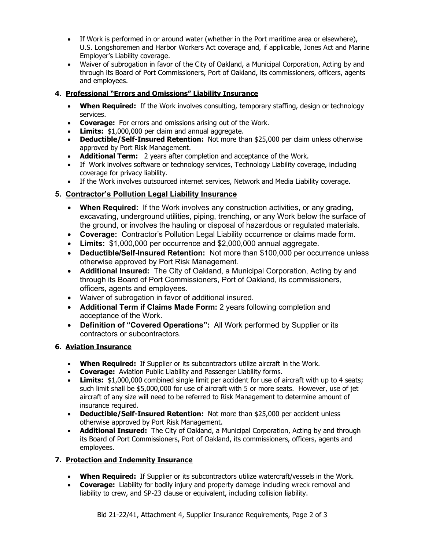- If Work is performed in or around water (whether in the Port maritime area or elsewhere), U.S. Longshoremen and Harbor Workers Act coverage and, if applicable, Jones Act and Marine Employer's Liability coverage.
- Waiver of subrogation in favor of the City of Oakland, a Municipal Corporation, Acting by and through its Board of Port Commissioners, Port of Oakland, its commissioners, officers, agents and employees.

# **4**. **Professional "Errors and Omissions" Liability Insurance**

- **When Required:** If the Work involves consulting, temporary staffing, design or technology services.
- **Coverage:** For errors and omissions arising out of the Work.
- **Limits:** \$1,000,000 per claim and annual aggregate.
- **Deductible/Self-Insured Retention:** Not more than \$25,000 per claim unless otherwise approved by Port Risk Management.
- **Additional Term:** 2 years after completion and acceptance of the Work.
- If Work involves software or technology services, Technology Liability coverage, including coverage for privacy liability.
- If the Work involves outsourced internet services, Network and Media Liability coverage.

# **5. Contractor's Pollution Legal Liability Insurance**

- **When Required:** If the Work involves any construction activities, or any grading, excavating, underground utilities, piping, trenching, or any Work below the surface of the ground, or involves the hauling or disposal of hazardous or regulated materials.
- **Coverage:** Contractor's Pollution Legal Liability occurrence or claims made form.
- **Limits:** \$1,000,000 per occurrence and \$2,000,000 annual aggregate.
- **Deductible/Self-Insured Retention:** Not more than \$100,000 per occurrence unless otherwise approved by Port Risk Management.
- **Additional Insured:** The City of Oakland, a Municipal Corporation, Acting by and through its Board of Port Commissioners, Port of Oakland, its commissioners, officers, agents and employees.
- Waiver of subrogation in favor of additional insured.
- **Additional Term if Claims Made Form:** 2 years following completion and acceptance of the Work.
- **Definition of "Covered Operations":** All Work performed by Supplier or its contractors or subcontractors.

# **6. Aviation Insurance**

- **When Required:** If Supplier or its subcontractors utilize aircraft in the Work.
- **Coverage:** Aviation Public Liability and Passenger Liability forms.
- **Limits:** \$1,000,000 combined single limit per accident for use of aircraft with up to 4 seats; such limit shall be \$5,000,000 for use of aircraft with 5 or more seats. However, use of jet aircraft of any size will need to be referred to Risk Management to determine amount of insurance required.
- **Deductible/Self-Insured Retention:** Not more than \$25,000 per accident unless otherwise approved by Port Risk Management.
- **Additional Insured:** The City of Oakland, a Municipal Corporation, Acting by and through its Board of Port Commissioners, Port of Oakland, its commissioners, officers, agents and employees.

# **7. Protection and Indemnity Insurance**

- **When Required:** If Supplier or its subcontractors utilize watercraft/vessels in the Work.
- **Coverage:** Liability for bodily injury and property damage including wreck removal and liability to crew, and SP-23 clause or equivalent, including collision liability.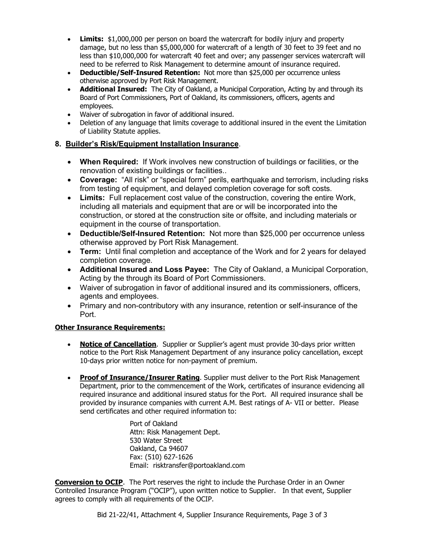- **Limits:** \$1,000,000 per person on board the watercraft for bodily injury and property damage, but no less than \$5,000,000 for watercraft of a length of 30 feet to 39 feet and no less than \$10,000,000 for watercraft 40 feet and over; any passenger services watercraft will need to be referred to Risk Management to determine amount of insurance required.
- **Deductible/Self-Insured Retention:** Not more than \$25,000 per occurrence unless otherwise approved by Port Risk Management.
- **Additional Insured:** The City of Oakland, a Municipal Corporation, Acting by and through its Board of Port Commissioners, Port of Oakland, its commissioners, officers, agents and employees.
- Waiver of subrogation in favor of additional insured.
- Deletion of any language that limits coverage to additional insured in the event the Limitation of Liability Statute applies.

#### **8. Builder's Risk/Equipment Installation Insurance**.

- **When Required:** If Work involves new construction of buildings or facilities, or the renovation of existing buildings or facilities..
- **Coverage:** "All risk" or "special form" perils, earthquake and terrorism, including risks from testing of equipment, and delayed completion coverage for soft costs.
- **Limits:** Full replacement cost value of the construction, covering the entire Work, including all materials and equipment that are or will be incorporated into the construction, or stored at the construction site or offsite, and including materials or equipment in the course of transportation.
- **Deductible/Self-Insured Retention:** Not more than \$25,000 per occurrence unless otherwise approved by Port Risk Management.
- **Term:** Until final completion and acceptance of the Work and for 2 years for delayed completion coverage.
- **Additional Insured and Loss Payee:** The City of Oakland, a Municipal Corporation, Acting by the through its Board of Port Commissioners.
- Waiver of subrogation in favor of additional insured and its commissioners, officers, agents and employees.
- Primary and non-contributory with any insurance, retention or self-insurance of the Port.

#### **Other Insurance Requirements:**

- **Notice of Cancellation.** Supplier or Supplier's agent must provide 30-days prior written notice to the Port Risk Management Department of any insurance policy cancellation, except 10-days prior written notice for non-payment of premium.
- **Proof of Insurance/Insurer Rating**. Supplier must deliver to the Port Risk Management Department, prior to the commencement of the Work, certificates of insurance evidencing all required insurance and additional insured status for the Port. All required insurance shall be provided by insurance companies with current A.M. Best ratings of A- VII or better. Please send certificates and other required information to:

Port of Oakland Attn: Risk Management Dept. 530 Water Street Oakland, Ca 94607 Fax: (510) 627-1626 Email: risktransfer@portoakland.com

**Conversion to OCIP**. The Port reserves the right to include the Purchase Order in an Owner Controlled Insurance Program ("OCIP"), upon written notice to Supplier. In that event, Supplier agrees to comply with all requirements of the OCIP.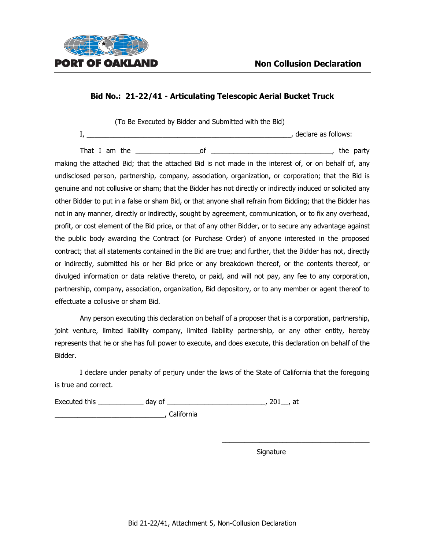

(To Be Executed by Bidder and Submitted with the Bid)

I, \_\_\_\_\_\_\_\_\_\_\_\_\_\_\_\_\_\_\_\_\_\_\_\_\_\_\_\_\_\_\_\_\_\_\_\_\_\_\_\_\_\_\_\_\_\_\_\_\_\_\_\_\_\_, declare as follows:

That I am the the set of the set of the set of the set of the party is the party making the attached Bid; that the attached Bid is not made in the interest of, or on behalf of, any undisclosed person, partnership, company, association, organization, or corporation; that the Bid is genuine and not collusive or sham; that the Bidder has not directly or indirectly induced or solicited any other Bidder to put in a false or sham Bid, or that anyone shall refrain from Bidding; that the Bidder has not in any manner, directly or indirectly, sought by agreement, communication, or to fix any overhead, profit, or cost element of the Bid price, or that of any other Bidder, or to secure any advantage against the public body awarding the Contract (or Purchase Order) of anyone interested in the proposed contract; that all statements contained in the Bid are true; and further, that the Bidder has not, directly or indirectly, submitted his or her Bid price or any breakdown thereof, or the contents thereof, or divulged information or data relative thereto, or paid, and will not pay, any fee to any corporation, partnership, company, association, organization, Bid depository, or to any member or agent thereof to effectuate a collusive or sham Bid.

Any person executing this declaration on behalf of a proposer that is a corporation, partnership, joint venture, limited liability company, limited liability partnership, or any other entity, hereby represents that he or she has full power to execute, and does execute, this declaration on behalf of the Bidder.

I declare under penalty of perjury under the laws of the State of California that the foregoing is true and correct.

Executed this \_\_\_\_\_\_\_\_\_\_\_\_ day of \_\_\_\_\_\_\_\_\_\_\_\_\_\_\_\_\_\_\_\_\_\_\_\_\_\_, 201\_\_, at

\_\_\_\_\_\_\_\_\_\_\_\_\_\_\_\_\_\_\_\_\_\_\_\_\_\_\_\_\_, California

Signature

 $\_$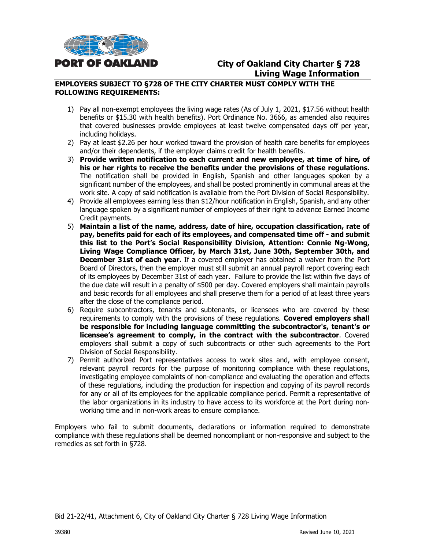

# **City of Oakland City Charter § 728 Living Wage Information**

#### **EMPLOYERS SUBJECT TO §728 OF THE CITY CHARTER MUST COMPLY WITH THE FOLLOWING REQUIREMENTS:**

- 1) Pay all non-exempt employees the living wage rates (As of July 1, 2021, \$17.56 without health benefits or \$15.30 with health benefits). Port Ordinance No. 3666, as amended also requires that covered businesses provide employees at least twelve compensated days off per year, including holidays.
- 2) Pay at least \$2.26 per hour worked toward the provision of health care benefits for employees and/or their dependents, if the employer claims credit for health benefits.
- 3) **Provide written notification to each current and new employee, at time of hire, of his or her rights to receive the benefits under the provisions of these regulations.** The notification shall be provided in English, Spanish and other languages spoken by a significant number of the employees, and shall be posted prominently in communal areas at the work site. A copy of said notification is available from the Port Division of Social Responsibility.
- 4) Provide all employees earning less than \$12/hour notification in English, Spanish, and any other language spoken by a significant number of employees of their right to advance Earned Income Credit payments.
- 5) **Maintain a list of the name, address, date of hire, occupation classification, rate of pay, benefits paid for each of its employees, and compensated time off - and submit this list to the Port's Social Responsibility Division, Attention: Connie Ng-Wong, Living Wage Compliance Officer, by March 31st, June 30th, September 30th, and December 31st of each year.** If a covered employer has obtained a waiver from the Port Board of Directors, then the employer must still submit an annual payroll report covering each of its employees by December 31st of each year. Failure to provide the list within five days of the due date will result in a penalty of \$500 per day. Covered employers shall maintain payrolls and basic records for all employees and shall preserve them for a period of at least three years after the close of the compliance period.
- 6) Require subcontractors, tenants and subtenants, or licensees who are covered by these requirements to comply with the provisions of these regulations. **Covered employers shall be responsible for including language committing the subcontractor's, tenant's or licensee's agreement to comply, in the contract with the subcontractor**. Covered employers shall submit a copy of such subcontracts or other such agreements to the Port Division of Social Responsibility.
- 7) Permit authorized Port representatives access to work sites and, with employee consent, relevant payroll records for the purpose of monitoring compliance with these regulations, investigating employee complaints of non-compliance and evaluating the operation and effects of these regulations, including the production for inspection and copying of its payroll records for any or all of its employees for the applicable compliance period. Permit a representative of the labor organizations in its industry to have access to its workforce at the Port during nonworking time and in non-work areas to ensure compliance.

Employers who fail to submit documents, declarations or information required to demonstrate compliance with these regulations shall be deemed noncompliant or non-responsive and subject to the remedies as set forth in §728.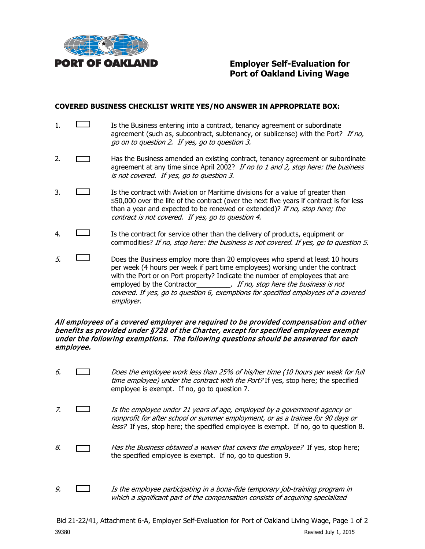

#### **COVERED BUSINESS CHECKLIST WRITE YES/NO ANSWER IN APPROPRIATE BOX:**

- 1. **IS the Business entering into a contract, tenancy agreement or subordinate** agreement (such as, subcontract, subtenancy, or sublicense) with the Port? If no, go on to question 2. If yes, go to question 3.
- 2. **Has the Business amended an existing contract, tenancy agreement or subordinate** agreement at any time since April 2002? If no to 1 and 2, stop here: the business is not covered. If yes, go to question 3.
- 3. **If the contract with Aviation or Maritime divisions for a value of greater than** \$50,000 over the life of the contract (over the next five years if contract is for less than a year and expected to be renewed or extended)? If no, stop here; the contract is not covered. If yes, go to question 4.
- 4. Is the contract for service other than the delivery of products, equipment or commodities? If no, stop here: the business is not covered. If yes, go to question 5.
- $5.$  Does the Business employ more than 20 employees who spend at least 10 hours per week (4 hours per week if part time employees) working under the contract with the Port or on Port property? Indicate the number of employees that are employed by the Contractor\_\_\_\_\_\_\_\_\_\_. If no, stop here the business is not covered. If yes, go to question 6, exemptions for specified employees of a covered employer.

#### All employees of a covered employer are required to be provided compensation and other benefits as provided under §728 of the Charter, except for specified employees exempt under the following exemptions. The following questions should be answered for each employee.

- 6. Does the employee work less than 25% of his/her time (10 hours per week for full time employee) under the contract with the Port? If yes, stop here; the specified employee is exempt. If no, go to question 7.
- 7.  $\Box$  Is the employee under 21 years of age, employed by a government agency or nonprofit for after school or summer employment, or as a trainee for 90 days or less? If yes, stop here; the specified employee is exempt. If no, go to question 8.
- 8.  $\Box$  Has the Business obtained a waiver that covers the employee? If yes, stop here; the specified employee is exempt. If no, go to question 9.
- 9.  $\Box$  Is the employee participating in a bona-fide temporary job-training program in which a significant part of the compensation consists of acquiring specialized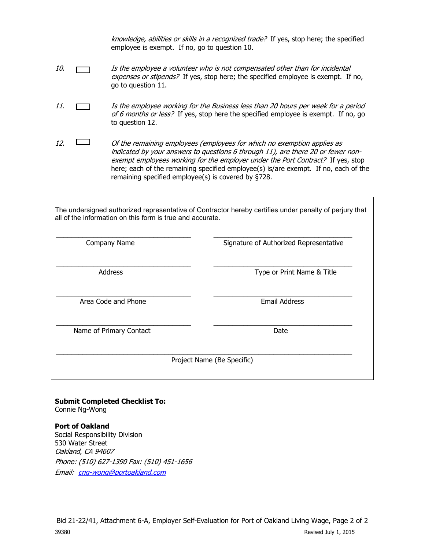knowledge, abilities or skills in a recognized trade? If yes, stop here; the specified employee is exempt. If no, go to question 10.

- 10. **If the employee a volunteer who is not compensated other than for incidental** expenses or stipends? If yes, stop here; the specified employee is exempt. If no, go to question 11.
- 11. Is the employee working for the Business less than 20 hours per week for a period of 6 months or less? If yes, stop here the specified employee is exempt. If no, go to question 12.
- 12.  $\Box$  Of the remaining employees (employees for which no exemption applies as indicated by your answers to questions 6 through 11), are there 20 or fewer nonexempt employees working for the employer under the Port Contract? If yes, stop here; each of the remaining specified employee(s) is/are exempt. If no, each of the remaining specified employee(s) is covered by §728.

The undersigned authorized representative of Contractor hereby certifies under penalty of perjury that all of the information on this form is true and accurate.

| Company Name            | Signature of Authorized Representative |
|-------------------------|----------------------------------------|
| <b>Address</b>          | Type or Print Name & Title             |
| Area Code and Phone     | <b>Email Address</b>                   |
| Name of Primary Contact | Date                                   |
|                         | Project Name (Be Specific)             |

**Submit Completed Checklist To:** Connie Ng-Wong

**Port of Oakland**  Social Responsibility Division 530 Water Street Oakland, CA 94607 Phone: (510) 627-1390 Fax: (510) 451-1656 Email: [cng-wong@portoakland.com](mailto:cng-wong@portoakland.com)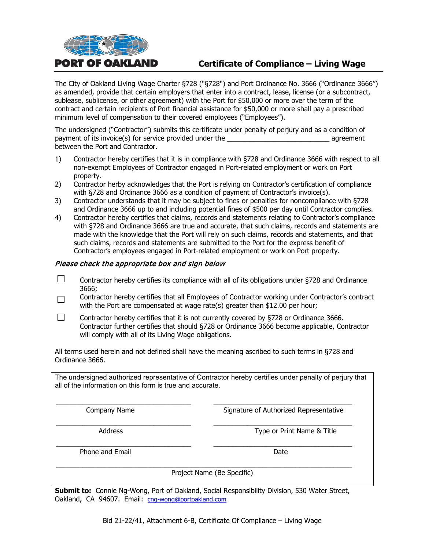

# **Certificate of Compliance – Living Wage**

The City of Oakland Living Wage Charter §728 ("§728") and Port Ordinance No. 3666 ("Ordinance 3666") as amended, provide that certain employers that enter into a contract, lease, license (or a subcontract, sublease, sublicense, or other agreement) with the Port for \$50,000 or more over the term of the contract and certain recipients of Port financial assistance for \$50,000 or more shall pay a prescribed minimum level of compensation to their covered employees ("Employees").

The undersigned ("Contractor") submits this certificate under penalty of perjury and as a condition of payment of its invoice(s) for service provided under the \_\_\_\_\_\_\_\_\_\_\_\_\_\_\_\_\_\_\_\_\_\_\_\_\_\_\_ agreement between the Port and Contractor.

- 1) Contractor hereby certifies that it is in compliance with §728 and Ordinance 3666 with respect to all non-exempt Employees of Contractor engaged in Port-related employment or work on Port property.
- 2) Contractor herby acknowledges that the Port is relying on Contractor's certification of compliance with §728 and Ordinance 3666 as a condition of payment of Contractor's invoice(s).
- 3) Contractor understands that it may be subject to fines or penalties for noncompliance with §728 and Ordinance 3666 up to and including potential fines of \$500 per day until Contractor complies.
- 4) Contractor hereby certifies that claims, records and statements relating to Contractor's compliance with §728 and Ordinance 3666 are true and accurate, that such claims, records and statements are made with the knowledge that the Port will rely on such claims, records and statements, and that such claims, records and statements are submitted to the Port for the express benefit of Contractor's employees engaged in Port-related employment or work on Port property.

#### Please check the appropriate box and sign below

- $\Box$ Contractor hereby certifies its compliance with all of its obligations under §728 and Ordinance 3666;
- Contractor hereby certifies that all Employees of Contractor working under Contractor's contract  $\Box$ with the Port are compensated at wage rate(s) greater than \$12.00 per hour;
- $\Box$ Contractor hereby certifies that it is not currently covered by §728 or Ordinance 3666. Contractor further certifies that should §728 or Ordinance 3666 become applicable, Contractor will comply with all of its Living Wage obligations.

All terms used herein and not defined shall have the meaning ascribed to such terms in §728 and Ordinance 3666.

The undersigned authorized representative of Contractor hereby certifies under penalty of perjury that all of the information on this form is true and accurate.

\_\_\_\_\_\_\_\_\_\_\_\_\_\_\_\_\_\_\_\_\_\_\_\_\_\_\_\_\_\_\_\_\_\_\_\_ \_\_\_\_\_\_\_\_\_\_\_\_\_\_\_\_\_\_\_\_\_\_\_\_\_\_\_\_\_\_\_\_\_\_\_\_\_ Company Name Signature of Authorized Representative

\_\_\_\_\_\_\_\_\_\_\_\_\_\_\_\_\_\_\_\_\_\_\_\_\_\_\_\_\_\_\_\_\_\_\_\_ \_\_\_\_\_\_\_\_\_\_\_\_\_\_\_\_\_\_\_\_\_\_\_\_\_\_\_\_\_\_\_\_\_\_\_\_\_ Address **Address** Type or Print Name & Title

\_\_\_\_\_\_\_\_\_\_\_\_\_\_\_\_\_\_\_\_\_\_\_\_\_\_\_\_\_\_\_\_\_\_\_\_ \_\_\_\_\_\_\_\_\_\_\_\_\_\_\_\_\_\_\_\_\_\_\_\_\_\_\_\_\_\_\_\_\_\_\_\_\_ Phone and Email **Date Date Date Date Date** 

\_\_\_\_\_\_\_\_\_\_\_\_\_\_\_\_\_\_\_\_\_\_\_\_\_\_\_\_\_\_\_\_\_\_\_\_\_\_\_\_\_\_\_\_\_\_\_\_\_\_\_\_\_\_\_\_\_\_\_\_\_\_\_\_\_\_\_\_\_\_\_\_\_\_\_\_\_\_\_ Project Name (Be Specific)

**Submit to:** Connie Ng-Wong, Port of Oakland, Social Responsibility Division, 530 Water Street, Oakland, CA 94607. Email: [cng-wong@portoakland.com](mailto:cng-wong@portoakland.com)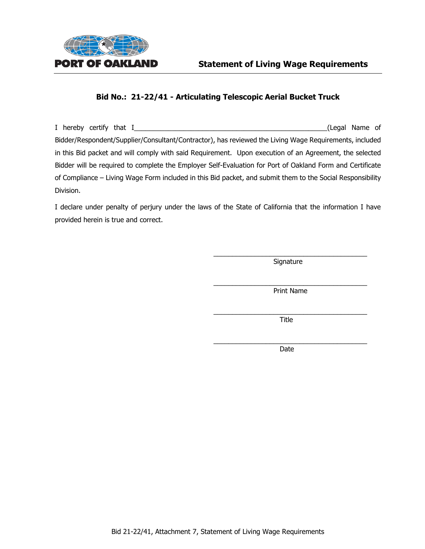

I hereby certify that I\_\_\_\_\_\_\_\_\_\_\_\_\_\_\_\_\_\_\_\_\_\_\_\_\_\_\_\_\_\_\_\_\_\_\_\_\_\_\_\_\_\_\_\_\_\_\_\_\_\_\_(Legal Name of Bidder/Respondent/Supplier/Consultant/Contractor), has reviewed the Living Wage Requirements, included in this Bid packet and will comply with said Requirement. Upon execution of an Agreement, the selected Bidder will be required to complete the Employer Self-Evaluation for Port of Oakland Form and Certificate of Compliance – Living Wage Form included in this Bid packet, and submit them to the Social Responsibility Division.

I declare under penalty of perjury under the laws of the State of California that the information I have provided herein is true and correct.

> $\overline{\phantom{a}}$  , and the contract of the contract of  $\overline{\phantom{a}}$ Signature

> $\overline{\phantom{a}}$  , and the contract of the contract of the contract of the contract of the contract of the contract of the contract of the contract of the contract of the contract of the contract of the contract of the contrac Print Name

> $\mathcal{L}=\{1,2,3,4,5\}$  , we can assume that  $\mathcal{L}=\{1,2,3,4,5\}$ Title

> $\frac{1}{2}$  ,  $\frac{1}{2}$  ,  $\frac{1}{2}$  ,  $\frac{1}{2}$  ,  $\frac{1}{2}$  ,  $\frac{1}{2}$  ,  $\frac{1}{2}$  ,  $\frac{1}{2}$  ,  $\frac{1}{2}$  ,  $\frac{1}{2}$  ,  $\frac{1}{2}$  ,  $\frac{1}{2}$  ,  $\frac{1}{2}$  ,  $\frac{1}{2}$  ,  $\frac{1}{2}$  ,  $\frac{1}{2}$  ,  $\frac{1}{2}$  ,  $\frac{1}{2}$  ,  $\frac{1$ Date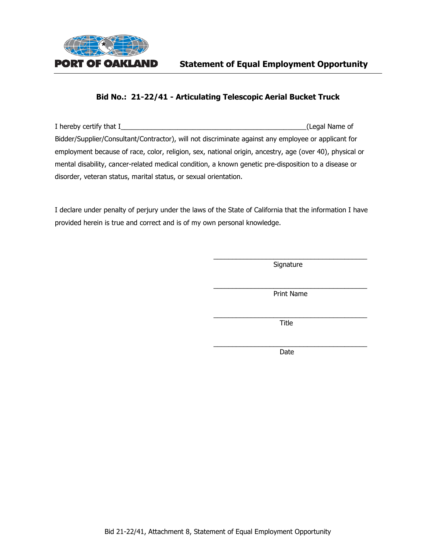

I hereby certify that I\_\_\_\_\_\_\_\_\_\_\_\_\_\_\_\_\_\_\_\_\_\_\_\_\_\_\_\_\_\_\_\_\_\_\_\_\_\_\_\_\_\_\_\_\_\_\_\_\_(Legal Name of Bidder/Supplier/Consultant/Contractor), will not discriminate against any employee or applicant for employment because of race, color, religion, sex, national origin, ancestry, age (over 40), physical or mental disability, cancer-related medical condition, a known genetic pre-disposition to a disease or disorder, veteran status, marital status, or sexual orientation.

I declare under penalty of perjury under the laws of the State of California that the information I have provided herein is true and correct and is of my own personal knowledge.

> $\overline{\phantom{a}}$  , and the contract of the contract of the contract of the contract of the contract of the contract of the contract of the contract of the contract of the contract of the contract of the contract of the contrac Signature

> $\overline{\phantom{a}}$  , and the contract of the contract of the contract of the contract of the contract of the contract of the contract of the contract of the contract of the contract of the contract of the contract of the contrac Print Name

> $\overline{\phantom{a}}$  , and the contract of the contract of the contract of the contract of the contract of the contract of the contract of the contract of the contract of the contract of the contract of the contract of the contrac Title

> \_\_\_\_\_\_\_\_\_\_\_\_\_\_\_\_\_\_\_\_\_\_\_\_\_\_\_\_\_\_\_\_\_\_\_\_\_\_\_\_\_ Date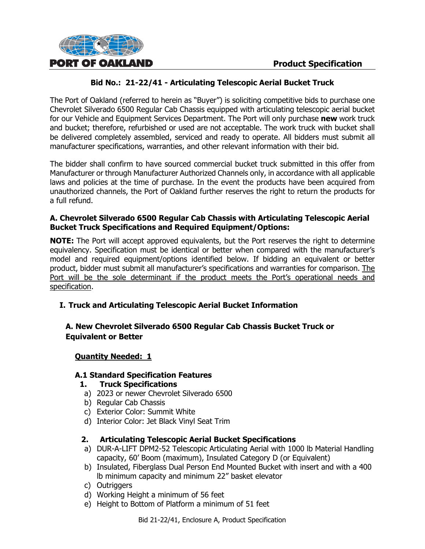

The Port of Oakland (referred to herein as "Buyer") is soliciting competitive bids to purchase one Chevrolet Silverado 6500 Regular Cab Chassis equipped with articulating telescopic aerial bucket for our Vehicle and Equipment Services Department. The Port will only purchase **new** work truck and bucket; therefore, refurbished or used are not acceptable. The work truck with bucket shall be delivered completely assembled, serviced and ready to operate. All bidders must submit all manufacturer specifications, warranties, and other relevant information with their bid.

The bidder shall confirm to have sourced commercial bucket truck submitted in this offer from Manufacturer or through Manufacturer Authorized Channels only, in accordance with all applicable laws and policies at the time of purchase. In the event the products have been acquired from unauthorized channels, the Port of Oakland further reserves the right to return the products for a full refund.

#### **A. Chevrolet Silverado 6500 Regular Cab Chassis with Articulating Telescopic Aerial Bucket Truck Specifications and Required Equipment/Options:**

**NOTE:** The Port will accept approved equivalents, but the Port reserves the right to determine equivalency. Specification must be identical or better when compared with the manufacturer's model and required equipment/options identified below. If bidding an equivalent or better product, bidder must submit all manufacturer's specifications and warranties for comparison. The Port will be the sole determinant if the product meets the Port's operational needs and specification.

# **I. Truck and Articulating Telescopic Aerial Bucket Information**

# **A. New Chevrolet Silverado 6500 Regular Cab Chassis Bucket Truck or Equivalent or Better**

# **Quantity Needed: 1**

# **A.1 Standard Specification Features**

# **1. Truck Specifications**

- a) 2023 or newer Chevrolet Silverado 6500
- b) Regular Cab Chassis
- c) Exterior Color: Summit White
- d) Interior Color: Jet Black Vinyl Seat Trim

# **2. Articulating Telescopic Aerial Bucket Specifications**

- a) DUR-A-LIFT DPM2-52 Telescopic Articulating Aerial with 1000 lb Material Handling capacity, 60' Boom (maximum), Insulated Category D (or Equivalent)
- b) Insulated, Fiberglass Dual Person End Mounted Bucket with insert and with a 400 lb minimum capacity and minimum 22" basket elevator
- c) Outriggers
- d) Working Height a minimum of 56 feet
- e) Height to Bottom of Platform a minimum of 51 feet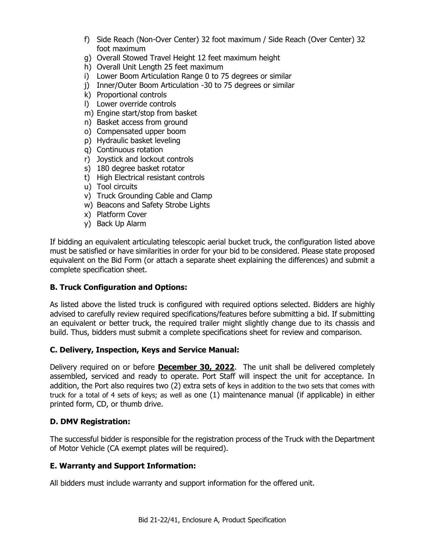- f) Side Reach (Non-Over Center) 32 foot maximum / Side Reach (Over Center) 32 foot maximum
- g) Overall Stowed Travel Height 12 feet maximum height
- h) Overall Unit Length 25 feet maximum
- i) Lower Boom Articulation Range 0 to 75 degrees or similar
- j) Inner/Outer Boom Articulation -30 to 75 degrees or similar
- k) Proportional controls
- l) Lower override controls
- m) Engine start/stop from basket
- n) Basket access from ground
- o) Compensated upper boom
- p) Hydraulic basket leveling
- q) Continuous rotation
- r) Joystick and lockout controls
- s) 180 degree basket rotator
- t) High Electrical resistant controls
- u) Tool circuits
- v) Truck Grounding Cable and Clamp
- w) Beacons and Safety Strobe Lights
- x) Platform Cover
- y) Back Up Alarm

If bidding an equivalent articulating telescopic aerial bucket truck, the configuration listed above must be satisfied or have similarities in order for your bid to be considered. Please state proposed equivalent on the Bid Form (or attach a separate sheet explaining the differences) and submit a complete specification sheet.

#### **B. Truck Configuration and Options:**

As listed above the listed truck is configured with required options selected. Bidders are highly advised to carefully review required specifications/features before submitting a bid. If submitting an equivalent or better truck, the required trailer might slightly change due to its chassis and build. Thus, bidders must submit a complete specifications sheet for review and comparison.

#### **C. Delivery, Inspection, Keys and Service Manual:**

Delivery required on or before **December 30, 2022**. The unit shall be delivered completely assembled, serviced and ready to operate. Port Staff will inspect the unit for acceptance. In addition, the Port also requires two (2) extra sets of keys in addition to the two sets that comes with truck for a total of 4 sets of keys; as well as one (1) maintenance manual (if applicable) in either printed form, CD, or thumb drive.

# **D. DMV Registration:**

The successful bidder is responsible for the registration process of the Truck with the Department of Motor Vehicle (CA exempt plates will be required).

# **E. Warranty and Support Information:**

All bidders must include warranty and support information for the offered unit.